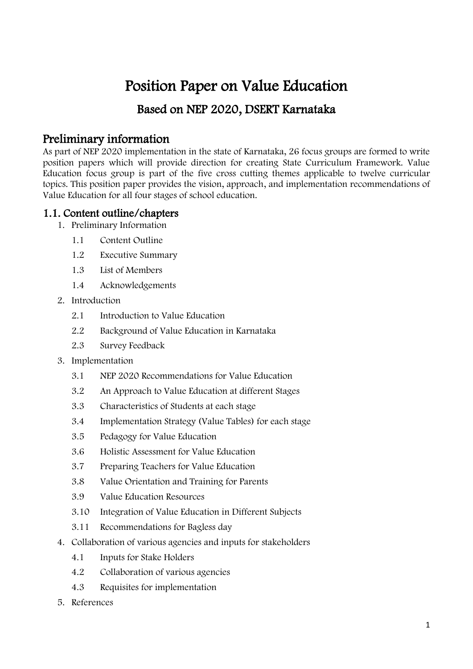# Position Paper on Value Education

# Based on NEP 2020, DSERT Karnataka

# Preliminary information

As part of NEP 2020 implementation in the state of Karnataka, 26 focus groups are formed to write position papers which will provide direction for creating State Curriculum Framework. Value Education focus group is part of the five cross cutting themes applicable to twelve curricular topics. This position paper provides the vision, approach, and implementation recommendations of Value Education for all four stages of school education.

### 1.1. Content outline/chapters

- 1. Preliminary Information
	- 1.1 Content Outline
	- 1.2 Executive Summary
	- 1.3 List of Members
	- 1.4 Acknowledgements
- 2. Introduction
	- 2.1 Introduction to Value Education
	- 2.2 Background of Value Education in Karnataka
	- 2.3 Survey Feedback
- 3. Implementation
	- 3.1 NEP 2020 Recommendations for Value Education
	- 3.2 An Approach to Value Education at different Stages
	- 3.3 Characteristics of Students at each stage
	- 3.4 Implementation Strategy (Value Tables) for each stage
	- 3.5 Pedagogy for Value Education
	- 3.6 Holistic Assessment for Value Education
	- 3.7 Preparing Teachers for Value Education
	- 3.8 Value Orientation and Training for Parents
	- 3.9 Value Education Resources
	- 3.10 Integration of Value Education in Different Subjects
	- 3.11 Recommendations for Bagless day
- 4. Collaboration of various agencies and inputs for stakeholders
	- 4.1 Inputs for Stake Holders
	- 4.2 Collaboration of various agencies
	- 4.3 Requisites for implementation
- 5. References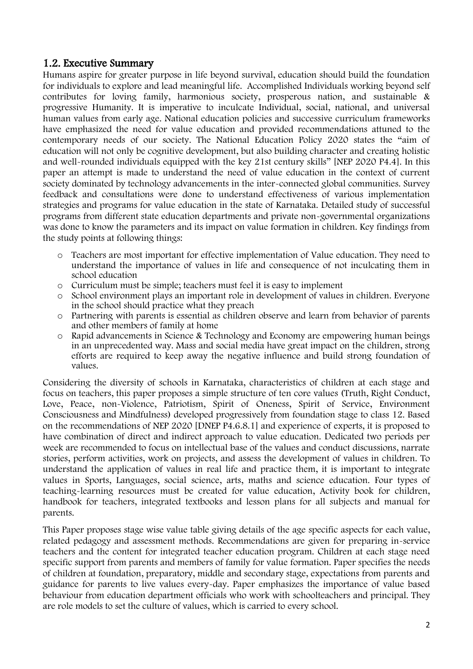### 1.2. Executive Summary

Humans aspire for greater purpose in life beyond survival, education should build the foundation for individuals to explore and lead meaningful life. Accomplished Individuals working beyond self contributes for loving family, harmonious society, prosperous nation, and sustainable & progressive Humanity. It is imperative to inculcate Individual, social, national, and universal human values from early age. National education policies and successive curriculum frameworks have emphasized the need for value education and provided recommendations attuned to the contemporary needs of our society. The National Education Policy 2020 states the "aim of education will not only be cognitive development, but also building character and creating holistic and well-rounded individuals equipped with the key 21st century skills" [NEP 2020 P4.4]. In this paper an attempt is made to understand the need of value education in the context of current society dominated by technology advancements in the inter-connected global communities. Survey feedback and consultations were done to understand effectiveness of various implementation strategies and programs for value education in the state of Karnataka. Detailed study of successful programs from different state education departments and private non-governmental organizations was done to know the parameters and its impact on value formation in children. Key findings from the study points at following things:

- o Teachers are most important for effective implementation of Value education. They need to understand the importance of values in life and consequence of not inculcating them in school education
- o Curriculum must be simple; teachers must feel it is easy to implement
- o School environment plays an important role in development of values in children. Everyone in the school should practice what they preach
- o Partnering with parents is essential as children observe and learn from behavior of parents and other members of family at home
- o Rapid advancements in Science & Technology and Economy are empowering human beings in an unprecedented way. Mass and social media have great impact on the children, strong efforts are required to keep away the negative influence and build strong foundation of values.

Considering the diversity of schools in Karnataka, characteristics of children at each stage and focus on teachers, this paper proposes a simple structure of ten core values (Truth, Right Conduct, Love, Peace, non-Violence, Patriotism, Spirit of Oneness, Spirit of Service, Environment Consciousness and Mindfulness) developed progressively from foundation stage to class 12. Based on the recommendations of NEP 2020 [DNEP P4.6.8.1] and experience of experts, it is proposed to have combination of direct and indirect approach to value education. Dedicated two periods per week are recommended to focus on intellectual base of the values and conduct discussions, narrate stories, perform activities, work on projects, and assess the development of values in children. To understand the application of values in real life and practice them, it is important to integrate values in Sports, Languages, social science, arts, maths and science education. Four types of teaching-learning resources must be created for value education, Activity book for children, handbook for teachers, integrated textbooks and lesson plans for all subjects and manual for parents.

This Paper proposes stage wise value table giving details of the age specific aspects for each value, related pedagogy and assessment methods. Recommendations are given for preparing in-service teachers and the content for integrated teacher education program. Children at each stage need specific support from parents and members of family for value formation. Paper specifies the needs of children at foundation, preparatory, middle and secondary stage, expectations from parents and guidance for parents to live values every-day. Paper emphasizes the importance of value based behaviour from education department officials who work with schoolteachers and principal. They are role models to set the culture of values, which is carried to every school.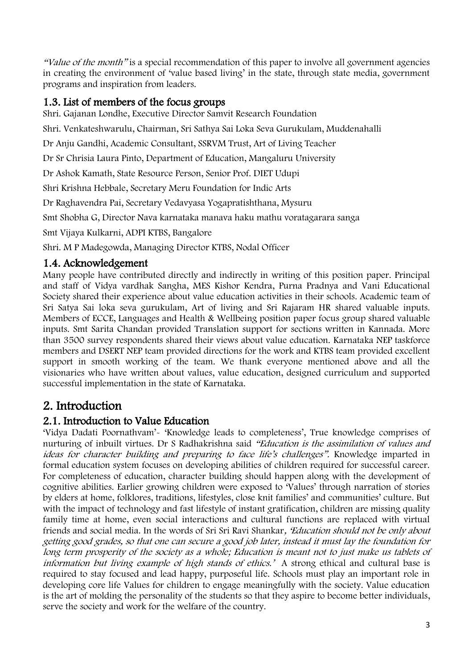"Value of the month" is a special recommendation of this paper to involve all government agencies in creating the environment of 'value based living' in the state, through state media, government programs and inspiration from leaders.

## 1.3. List of members of the focus groups

Shri. Gajanan Londhe, Executive Director Samvit Research Foundation

Shri. Venkateshwarulu, Chairman, Sri Sathya Sai Loka Seva Gurukulam, Muddenahalli

Dr Anju Gandhi, Academic Consultant, SSRVM Trust, Art of Living Teacher

Dr Sr Chrisia Laura Pinto, Department of Education, Mangaluru University

Dr Ashok Kamath, State Resource Person, Senior Prof. DIET Udupi

Shri Krishna Hebbale, Secretary Meru Foundation for Indic Arts

Dr Raghavendra Pai, Secretary Vedavyasa Yogapratishthana, Mysuru

Smt Shobha G, Director Nava karnataka manava haku mathu voratagarara sanga

Smt Vijaya Kulkarni, ADPI KTBS, Bangalore

Shri. M P Madegowda, Managing Director KTBS, Nodal Officer

### 1.4. Acknowledgement

Many people have contributed directly and indirectly in writing of this position paper. Principal and staff of Vidya vardhak Sangha, MES Kishor Kendra, Purna Pradnya and Vani Educational Society shared their experience about value education activities in their schools. Academic team of Sri Satya Sai loka seva gurukulam, Art of living and Sri Rajaram HR shared valuable inputs. Members of ECCE, Languages and Health & Wellbeing position paper focus group shared valuable inputs. Smt Sarita Chandan provided Translation support for sections written in Kannada. More than 3500 survey respondents shared their views about value education. Karnataka NEP taskforce members and DSERT NEP team provided directions for the work and KTBS team provided excellent support in smooth working of the team. We thank everyone mentioned above and all the visionaries who have written about values, value education, designed curriculum and supported successful implementation in the state of Karnataka.

# 2. Introduction

### 2.1. Introduction to Value Education

'Vidya Dadati Poornathvam'- 'Knowledge leads to completeness', True knowledge comprises of nurturing of inbuilt virtues. Dr S Radhakrishna said "Education is the assimilation of values and ideas for character building and preparing to face life's challenges". Knowledge imparted in formal education system focuses on developing abilities of children required for successful career. For completeness of education, character building should happen along with the development of cognitive abilities. Earlier growing children were exposed to 'Values' through narration of stories by elders at home, folklores, traditions, lifestyles, close knit families' and communities' culture. But with the impact of technology and fast lifestyle of instant gratification, children are missing quality family time at home, even social interactions and cultural functions are replaced with virtual friends and social media. In the words of Sri Sri Ravi Shankar, 'Education should not be only about getting good grades, so that one can secure a good job later, instead it must lay the foundation for long term prosperity of the society as a whole; Education is meant not to just make us tablets of information but living example of high stands of ethics.' A strong ethical and cultural base is required to stay focused and lead happy, purposeful life. Schools must play an important role in developing core life Values for children to engage meaningfully with the society. Value education is the art of molding the personality of the students so that they aspire to become better individuals, serve the society and work for the welfare of the country.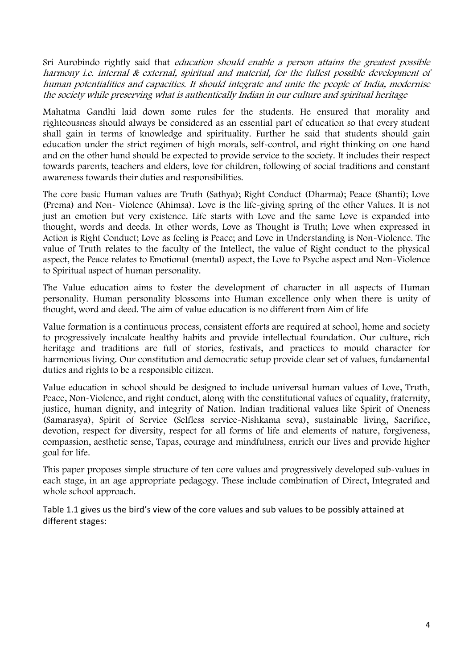Sri Aurobindo rightly said that education should enable a person attains the greatest possible harmony i.e. internal & external, spiritual and material, for the fullest possible development of human potentialities and capacities. It should integrate and unite the people of India, modernise the society while preserving what is authentically Indian in our culture and spiritual heritage

Mahatma Gandhi laid down some rules for the students. He ensured that morality and righteousness should always be considered as an essential part of education so that every student shall gain in terms of knowledge and spirituality. Further he said that students should gain education under the strict regimen of high morals, self-control, and right thinking on one hand and on the other hand should be expected to provide service to the society. It includes their respect towards parents, teachers and elders, love for children, following of social traditions and constant awareness towards their duties and responsibilities.

The core basic Human values are Truth (Sathya); Right Conduct (Dharma); Peace (Shanti); Love (Prema) and Non- Violence (Ahimsa). Love is the life-giving spring of the other Values. It is not just an emotion but very existence. Life starts with Love and the same Love is expanded into thought, words and deeds. In other words, Love as Thought is Truth; Love when expressed in Action is Right Conduct; Love as feeling is Peace; and Love in Understanding is Non-Violence. The value of Truth relates to the faculty of the Intellect, the value of Right conduct to the physical aspect, the Peace relates to Emotional (mental) aspect, the Love to Psyche aspect and Non-Violence to Spiritual aspect of human personality.

The Value education aims to foster the development of character in all aspects of Human personality. Human personality blossoms into Human excellence only when there is unity of thought, word and deed. The aim of value education is no different from Aim of life

Value formation is a continuous process, consistent efforts are required at school, home and society to progressively inculcate healthy habits and provide intellectual foundation. Our culture, rich heritage and traditions are full of stories, festivals, and practices to mould character for harmonious living. Our constitution and democratic setup provide clear set of values, fundamental duties and rights to be a responsible citizen.

Value education in school should be designed to include universal human values of Love, Truth, Peace, Non-Violence, and right conduct, along with the constitutional values of equality, fraternity, justice, human dignity, and integrity of Nation. Indian traditional values like Spirit of Oneness (Samarasya), Spirit of Service (Selfless service-Nishkama seva), sustainable living, Sacrifice, devotion, respect for diversity, respect for all forms of life and elements of nature, forgiveness, compassion, aesthetic sense, Tapas, courage and mindfulness, enrich our lives and provide higher goal for life.

This paper proposes simple structure of ten core values and progressively developed sub-values in each stage, in an age appropriate pedagogy. These include combination of Direct, Integrated and whole school approach.

Table 1.1 gives us the bird's view of the core values and sub values to be possibly attained at different stages: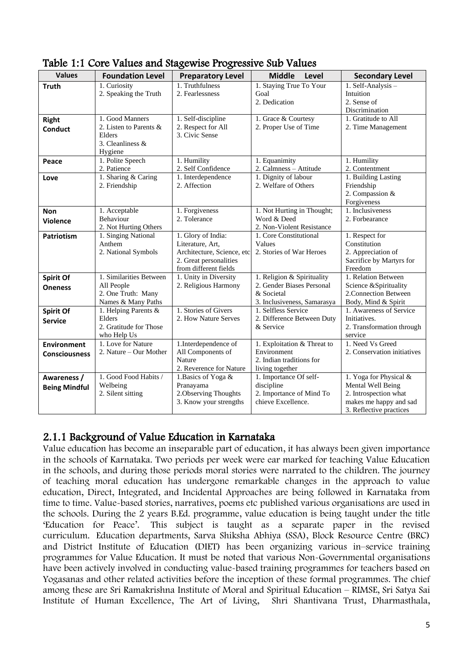| <b>Values</b>        | <b>Foundation Level</b>                                           | ້<br><b>Preparatory Level</b>                                                                                           | <b>Middle</b><br>Level                                                 | <b>Secondary Level</b>                                                                      |
|----------------------|-------------------------------------------------------------------|-------------------------------------------------------------------------------------------------------------------------|------------------------------------------------------------------------|---------------------------------------------------------------------------------------------|
| <b>Truth</b>         | 1. Curiosity<br>2. Speaking the Truth                             | 1. Truthfulness<br>2. Fearlessness                                                                                      | 1. Staying True To Your<br>Goal                                        | 1. Self-Analysis -<br>Intuition                                                             |
|                      |                                                                   |                                                                                                                         | 2. Dedication                                                          | 2. Sense of<br>Discrimination                                                               |
| Right                | 1. Good Manners                                                   | 1. Self-discipline                                                                                                      | 1. Grace & Courtesy                                                    | 1. Gratitude to All                                                                         |
| <b>Conduct</b>       | 2. Listen to Parents &<br>Elders<br>3. Cleanliness $&$<br>Hygiene | 2. Respect for All<br>3. Civic Sense                                                                                    | 2. Proper Use of Time                                                  | 2. Time Management                                                                          |
| Peace                | 1. Polite Speech<br>2. Patience                                   | 1. Humility                                                                                                             | 1. Equanimity                                                          | 1. Humility                                                                                 |
| Love                 | 1. Sharing & Caring<br>2. Friendship                              | 2. Self Confidence<br>1. Interdependence<br>2. Affection                                                                | 2. Calmness - Attitude<br>1. Dignity of labour<br>2. Welfare of Others | 2. Contentment<br>1. Building Lasting<br>Friendship<br>2. Compassion &<br>Forgiveness       |
| <b>Non</b>           | 1. Acceptable                                                     | 1. Forgiveness                                                                                                          | 1. Not Hurting in Thought;                                             | 1. Inclusiveness                                                                            |
| <b>Violence</b>      | Behaviour<br>2. Not Hurting Others                                | 2. Tolerance                                                                                                            | Word & Deed<br>2. Non-Violent Resistance                               | 2. Forbearance                                                                              |
| <b>Patriotism</b>    | 1. Singing National<br>Anthem<br>2. National Symbols              | 1. Glory of India:<br>Literature, Art,<br>Architecture, Science, etc<br>2. Great personalities<br>from different fields | 1. Core Constitutional<br>Values<br>2. Stories of War Heroes           | 1. Respect for<br>Constitution<br>2. Appreciation of<br>Sacrifice by Martyrs for<br>Freedom |
| Spirit Of            | 1. Similarities Between                                           | 1. Unity in Diversity                                                                                                   | 1. Religion & Spirituality                                             | 1. Relation Between                                                                         |
| <b>Oneness</b>       | All People<br>2. One Truth: Many<br>Names & Many Paths            | 2. Religious Harmony                                                                                                    | 2. Gender Biases Personal<br>& Societal<br>3. Inclusiveness, Samarasya | Science & Spirituality<br>2. Connection Between<br>Body, Mind & Spirit                      |
| <b>Spirit Of</b>     | 1. Helping Parents &                                              | 1. Stories of Givers                                                                                                    | 1. Selfless Service                                                    | 1. Awareness of Service                                                                     |
| <b>Service</b>       | Elders<br>2. Gratitude for Those<br>who Help Us                   | 2. How Nature Serves                                                                                                    | 2. Difference Between Duty<br>& Service                                | Initiatives.<br>2. Transformation through<br>service                                        |
| <b>Environment</b>   | 1. Love for Nature                                                | 1.Interdependence of                                                                                                    | 1. Exploitation & Threat to                                            | 1. Need Vs Greed                                                                            |
| <b>Consciousness</b> | 2. Nature – Our Mother                                            | All Components of<br>Nature<br>2. Reverence for Nature                                                                  | Environment<br>2. Indian traditions for<br>living together             | 2. Conservation initiatives                                                                 |
| Awareness /          | 1. Good Food Habits /                                             | 1. Basics of Yoga &                                                                                                     | 1. Importance Of self-                                                 | 1. Yoga for Physical &                                                                      |
| <b>Being Mindful</b> | Welbeing                                                          | Pranayama                                                                                                               | discipline                                                             | Mental Well Being                                                                           |
|                      | 2. Silent sitting                                                 | 2. Observing Thoughts<br>3. Know your strengths                                                                         | 2. Importance of Mind To<br>chieve Excellence.                         | 2. Introspection what<br>makes me happy and sad<br>3. Reflective practices                  |

Table 1:1 Core Values and Stagewise Progressive Sub Values

### 2.1.1 Background of Value Education in Karnataka

Value education has become an inseparable part of education, it has always been given importance in the schools of Karnataka. Two periods per week were ear marked for teaching Value Education in the schools, and during those periods moral stories were narrated to the children. The journey of teaching moral education has undergone remarkable changes in the approach to value education, Direct, Integrated, and Incidental Approaches are being followed in Karnataka from time to time. Value-based stories, narratives, poems etc published various organisations are used in the schools. During the 2 years B.Ed. programme, value education is being taught under the title 'Education for Peace'. This subject is taught as a separate paper in the revised curriculum. Education departments, Sarva Shiksha Abhiya (SSA), Block Resource Centre (BRC) and District Institute of Education (DIET) has been organizing various in–service training programmes for Value Education. It must be noted that various Non-Governmental organisations have been actively involved in conducting value-based training programmes for teachers based on Yogasanas and other related activities before the inception of these formal programmes. The chief among these are Sri Ramakrishna Institute of Moral and Spiritual Education – RIMSE, Sri Satya Sai Institute of Human Excellence, The Art of Living, Shri Shantivana Trust, Dharmasthala,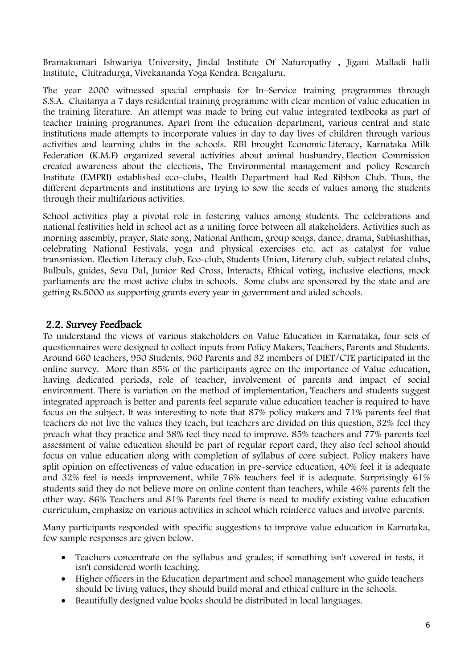Bramakumari Ishwariya University, Jindal Institute Of Naturopathy , Jigani Malladi halli Institute, Chitradurga, Vivekananda Yoga Kendra. Bengaluru.

The year 2000 witnessed special emphasis for In–Service training programmes through S.S.A. Chaitanya a 7 days residential training programme with clear mention of value education in the training literature. An attempt was made to bring out value integrated textbooks as part of teacher training programmes. Apart from the education department, various central and state institutions made attempts to incorporate values in day to day lives of children through various activities and learning clubs in the schools. RBI brought Economic Literacy, Karnataka Milk Federation (K.M.F) organized several activities about animal husbandry, Election Commission created awareness about the elections, The Environmental management and policy Research Institute (EMPRI) established eco–clubs, Health Department had Red Ribbon Club. Thus, the different departments and institutions are trying to sow the seeds of values among the students through their multifarious activities.

School activities play a pivotal role in fostering values among students. The celebrations and national festivities held in school act as a uniting force between all stakeholders. Activities such as morning assembly, prayer, State song, National Anthem, group songs, dance, drama, Subhashithas, celebrating National Festivals, yoga and physical exercises etc. act as catalyst for value transmission. Election Literacy club, Eco-club, Students Union, Literary club, subject related clubs, Bulbuls, guides, Seva Dal, Junior Red Cross, Interacts, Ethical voting, inclusive elections, mock parliaments are the most active clubs in schools. Some clubs are sponsored by the state and are getting Rs.5000 as supporting grants every year in government and aided schools.

### 2.2. Survey Feedback

To understand the views of various stakeholders on Value Education in Karnataka, four sets of questionnaires were designed to collect inputs from Policy Makers, Teachers, Parents and Students. Around 660 teachers, 950 Students, 960 Parents and 32 members of DIET/CTE participated in the online survey. More than 85% of the participants agree on the importance of Value education, having dedicated periods, role of teacher, involvement of parents and impact of social environment. There is variation on the method of implementation, Teachers and students suggest integrated approach is better and parents feel separate value education teacher is required to have focus on the subject. It was interesting to note that 87% policy makers and 71% parents feel that teachers do not live the values they teach, but teachers are divided on this question, 32% feel they preach what they practice and 38% feel they need to improve. 85% teachers and 77% parents feel assessment of value education should be part of regular report card, they also feel school should focus on value education along with completion of syllabus of core subject. Policy makers have split opinion on effectiveness of value education in pre-service education, 40% feel it is adequate and 32% feel is needs improvement, while 76% teachers feel it is adequate. Surprisingly 61% students said they do not believe more on online content than teachers, while 46% parents felt the other way. 86% Teachers and 81% Parents feel there is need to modify existing value education curriculum, emphasize on various activities in school which reinforce values and involve parents.

Many participants responded with specific suggestions to improve value education in Karnataka, few sample responses are given below.

- Teachers concentrate on the syllabus and grades; if something isn't covered in tests, it isn't considered worth teaching.
- Higher officers in the Education department and school management who guide teachers should be living values, they should build moral and ethical culture in the schools.
- Beautifully designed value books should be distributed in local languages.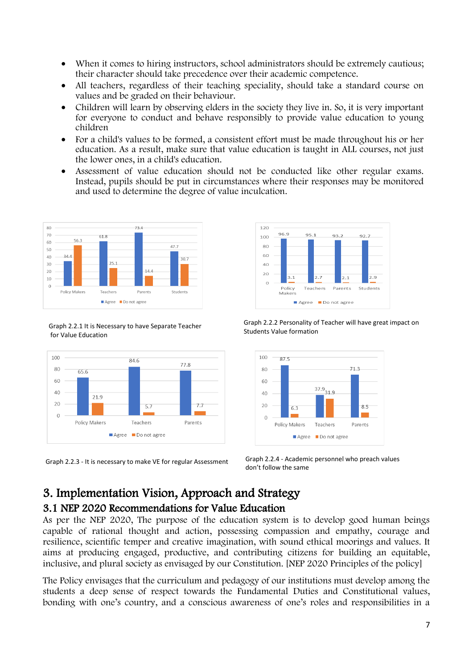- When it comes to hiring instructors, school administrators should be extremely cautious; their character should take precedence over their academic competence.
- All teachers, regardless of their teaching speciality, should take a standard course on values and be graded on their behaviour.
- Children will learn by observing elders in the society they live in. So, it is very important for everyone to conduct and behave responsibly to provide value education to young children
- For a child's values to be formed, a consistent effort must be made throughout his or her education. As a result, make sure that value education is taught in ALL courses, not just the lower ones, in a child's education.
- Assessment of value education should not be conducted like other regular exams. Instead, pupils should be put in circumstances where their responses may be monitored and used to determine the degree of value inculcation.



Graph 2.2.1 It is Necessary to have Separate Teacher for Value Education





Graph 2.2.2 Personality of Teacher will have great impact on Students Value formation



Graph 2.2.3 - It is necessary to make VE for regular Assessment Graph 2.2.4 - Academic personnel who preach values don't follow the same

# 3. Implementation Vision, Approach and Strategy 3.1 NEP 2020 Recommendations for Value Education

As per the NEP 2020, The purpose of the education system is to develop good human beings capable of rational thought and action, possessing compassion and empathy, courage and resilience, scientific temper and creative imagination, with sound ethical moorings and values. It aims at producing engaged, productive, and contributing citizens for building an equitable, inclusive, and plural society as envisaged by our Constitution. [NEP 2020 Principles of the policy]

The Policy envisages that the curriculum and pedagogy of our institutions must develop among the students a deep sense of respect towards the Fundamental Duties and Constitutional values, bonding with one's country, and a conscious awareness of one's roles and responsibilities in a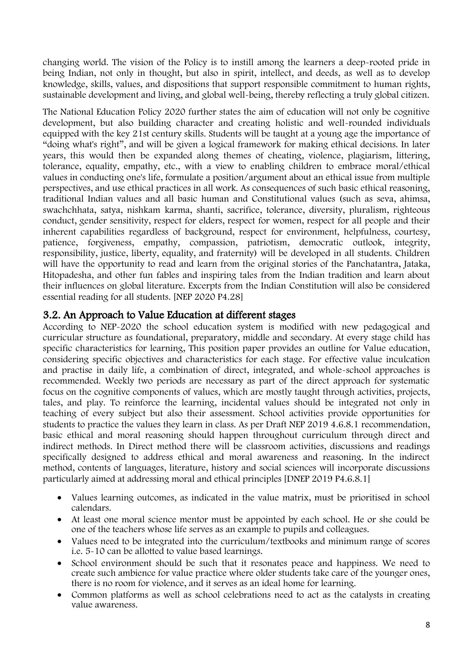changing world. The vision of the Policy is to instill among the learners a deep-rooted pride in being Indian, not only in thought, but also in spirit, intellect, and deeds, as well as to develop knowledge, skills, values, and dispositions that support responsible commitment to human rights, sustainable development and living, and global well-being, thereby reflecting a truly global citizen.

The National Education Policy 2020 further states the aim of education will not only be cognitive development, but also building character and creating holistic and well-rounded individuals equipped with the key 21st century skills. Students will be taught at a young age the importance of "doing what's right", and will be given a logical framework for making ethical decisions. In later years, this would then be expanded along themes of cheating, violence, plagiarism, littering, tolerance, equality, empathy, etc., with a view to enabling children to embrace moral/ethical values in conducting one's life, formulate a position/argument about an ethical issue from multiple perspectives, and use ethical practices in all work. As consequences of such basic ethical reasoning, traditional Indian values and all basic human and Constitutional values (such as seva, ahimsa, swachchhata, satya, nishkam karma, shanti, sacrifice, tolerance, diversity, pluralism, righteous conduct, gender sensitivity, respect for elders, respect for women, respect for all people and their inherent capabilities regardless of background, respect for environment, helpfulness, courtesy, patience, forgiveness, empathy, compassion, patriotism, democratic outlook, integrity, responsibility, justice, liberty, equality, and fraternity) will be developed in all students. Children will have the opportunity to read and learn from the original stories of the Panchatantra, Jataka, Hitopadesha, and other fun fables and inspiring tales from the Indian tradition and learn about their influences on global literature. Excerpts from the Indian Constitution will also be considered essential reading for all students. [NEP 2020 P4.28]

### 3.2. An Approach to Value Education at different stages

According to NEP-2020 the school education system is modified with new pedagogical and curricular structure as foundational, preparatory, middle and secondary. At every stage child has specific characteristics for learning, This position paper provides an outline for Value education, considering specific objectives and characteristics for each stage. For effective value inculcation and practise in daily life, a combination of direct, integrated, and whole-school approaches is recommended. Weekly two periods are necessary as part of the direct approach for systematic focus on the cognitive components of values, which are mostly taught through activities, projects, tales, and play. To reinforce the learning, incidental values should be integrated not only in teaching of every subject but also their assessment. School activities provide opportunities for students to practice the values they learn in class. As per Draft NEP 2019 4.6.8.1 recommendation, basic ethical and moral reasoning should happen throughout curriculum through direct and indirect methods. In Direct method there will be classroom activities, discussions and readings specifically designed to address ethical and moral awareness and reasoning. In the indirect method, contents of languages, literature, history and social sciences will incorporate discussions particularly aimed at addressing moral and ethical principles [DNEP 2019 P4.6.8.1]

- Values learning outcomes, as indicated in the value matrix, must be prioritised in school calendars.
- At least one moral science mentor must be appointed by each school. He or she could be one of the teachers whose life serves as an example to pupils and colleagues.
- Values need to be integrated into the curriculum/textbooks and minimum range of scores i.e. 5-10 can be allotted to value based learnings.
- School environment should be such that it resonates peace and happiness. We need to create such ambience for value practice where older students take care of the younger ones, there is no room for violence, and it serves as an ideal home for learning.
- Common platforms as well as school celebrations need to act as the catalysts in creating value awareness.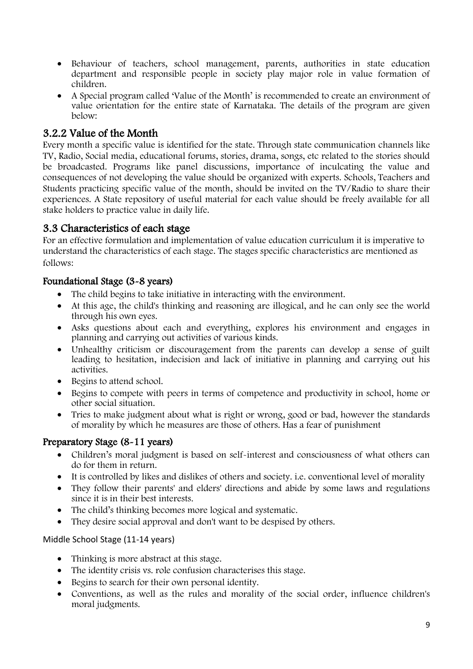- Behaviour of teachers, school management, parents, authorities in state education department and responsible people in society play major role in value formation of children.
- A Special program called 'Value of the Month' is recommended to create an environment of value orientation for the entire state of Karnataka. The details of the program are given below:

# 3.2.2 Value of the Month

Every month a specific value is identified for the state. Through state communication channels like TV, Radio, Social media, educational forums, stories, drama, songs, etc related to the stories should be broadcasted. Programs like panel discussions, importance of inculcating the value and consequences of not developing the value should be organized with experts. Schools, Teachers and Students practicing specific value of the month, should be invited on the TV/Radio to share their experiences. A State repository of useful material for each value should be freely available for all stake holders to practice value in daily life.

### 3.3 Characteristics of each stage

For an effective formulation and implementation of value education curriculum it is imperative to understand the characteristics of each stage. The stages specific characteristics are mentioned as follows:

### Foundational Stage (3-8 years)

- The child begins to take initiative in interacting with the environment.
- At this age, the child's thinking and reasoning are illogical, and he can only see the world through his own eyes.
- Asks questions about each and everything, explores his environment and engages in planning and carrying out activities of various kinds.
- Unhealthy criticism or discouragement from the parents can develop a sense of guilt leading to hesitation, indecision and lack of initiative in planning and carrying out his activities.
- Begins to attend school.
- Begins to compete with peers in terms of competence and productivity in school, home or other social situation.
- Tries to make judgment about what is right or wrong, good or bad, however the standards of morality by which he measures are those of others. Has a fear of punishment

### Preparatory Stage (8-11 years)

- Children's moral judgment is based on self-interest and consciousness of what others can do for them in return.
- It is controlled by likes and dislikes of others and society. i.e. conventional level of morality
- They follow their parents' and elders' directions and abide by some laws and regulations since it is in their best interests.
- The child's thinking becomes more logical and systematic.
- They desire social approval and don't want to be despised by others.

### Middle School Stage (11-14 years)

- Thinking is more abstract at this stage.
- The identity crisis vs. role confusion characterises this stage.
- Begins to search for their own personal identity.
- Conventions, as well as the rules and morality of the social order, influence children's moral judgments.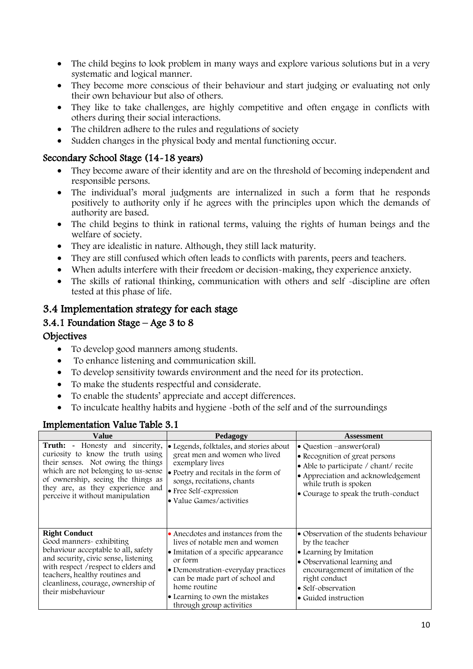- The child begins to look problem in many ways and explore various solutions but in a very systematic and logical manner.
- They become more conscious of their behaviour and start judging or evaluating not only their own behaviour but also of others.
- They like to take challenges, are highly competitive and often engage in conflicts with others during their social interactions.
- The children adhere to the rules and regulations of society
- Sudden changes in the physical body and mental functioning occur.

#### Secondary School Stage (14-18 years)

- They become aware of their identity and are on the threshold of becoming independent and responsible persons.
- The individual's moral judgments are internalized in such a form that he responds positively to authority only if he agrees with the principles upon which the demands of authority are based.
- The child begins to think in rational terms, valuing the rights of human beings and the welfare of society.
- They are idealistic in nature. Although, they still lack maturity.
- They are still confused which often leads to conflicts with parents, peers and teachers.
- When adults interfere with their freedom or decision-making, they experience anxiety.
- The skills of rational thinking, communication with others and self -discipline are often tested at this phase of life.

### 3.4 Implementation strategy for each stage

#### 3.4.1 Foundation Stage – Age 3 to 8

#### **Objectives**

- To develop good manners among students.
- To enhance listening and communication skill.
- To develop sensitivity towards environment and the need for its protection.
- To make the students respectful and considerate.
- To enable the students' appreciate and accept differences.
- To inculcate healthy habits and hygiene -both of the self and of the surroundings

| Value                                                                                                                                                                                                                                                                  | Pedagogy                                                                                                                                                                                                                                                                      | <b>Assessment</b>                                                                                                                                                                                                        |
|------------------------------------------------------------------------------------------------------------------------------------------------------------------------------------------------------------------------------------------------------------------------|-------------------------------------------------------------------------------------------------------------------------------------------------------------------------------------------------------------------------------------------------------------------------------|--------------------------------------------------------------------------------------------------------------------------------------------------------------------------------------------------------------------------|
| <b>Truth:</b> - Honesty and sincerity,<br>curiosity to know the truth using<br>their senses. Not owing the things<br>which are not belonging to us-sense<br>of ownership, seeing the things as<br>they are, as they experience and<br>perceive it without manipulation | · Legends, folktales, and stories about<br>great men and women who lived<br>exemplary lives<br>• Poetry and recitals in the form of<br>songs, recitations, chants<br>• Free Self-expression<br>• Value Games/activities                                                       | • Question –answer(oral)<br>• Recognition of great persons<br>• Able to participate / chant/ recite<br>• Appreciation and acknowledgement<br>while truth is spoken<br>• Courage to speak the truth-conduct               |
| <b>Right Conduct</b><br>Good manners- exhibiting<br>behaviour acceptable to all, safety<br>and security, civic sense, listening<br>with respect / respect to elders and<br>teachers, healthy routines and<br>cleanliness, courage, ownership of<br>their misbehaviour  | • Anecdotes and instances from the<br>lives of notable men and women<br>• Imitation of a specific appearance<br>or form<br>• Demonstration-everyday practices<br>can be made part of school and<br>home routine<br>• Learning to own the mistakes<br>through group activities | • Observation of the students behaviour<br>by the teacher<br>• Learning by Imitation<br>• Observational learning and<br>encouragement of imitation of the<br>right conduct<br>• Self-observation<br>• Guided instruction |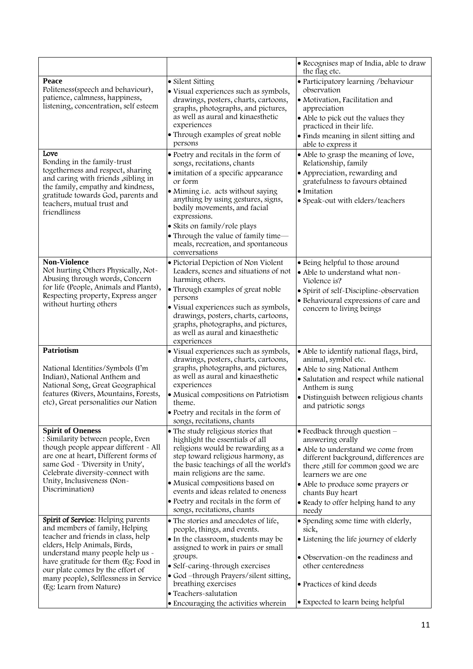|                                                                                                                                                                                                                                                                                                                                |                                                                                                                                                                                                                                                                                                                                                                                | • Recognises map of India, able to draw<br>the flag etc.                                                                                                                                                                                                                                                           |
|--------------------------------------------------------------------------------------------------------------------------------------------------------------------------------------------------------------------------------------------------------------------------------------------------------------------------------|--------------------------------------------------------------------------------------------------------------------------------------------------------------------------------------------------------------------------------------------------------------------------------------------------------------------------------------------------------------------------------|--------------------------------------------------------------------------------------------------------------------------------------------------------------------------------------------------------------------------------------------------------------------------------------------------------------------|
| Peace<br>Politeness(speech and behaviour),<br>patience, calmness, happiness,<br>listening, concentration, self esteem                                                                                                                                                                                                          | • Silent Sitting<br>· Visual experiences such as symbols,<br>drawings, posters, charts, cartoons,<br>graphs, photographs, and pictures,<br>as well as aural and kinaesthetic<br>experiences                                                                                                                                                                                    | · Participatory learning /behaviour<br>observation<br>· Motivation, Facilitation and<br>appreciation<br>• Able to pick out the values they<br>practiced in their life.                                                                                                                                             |
|                                                                                                                                                                                                                                                                                                                                | • Through examples of great noble<br>persons                                                                                                                                                                                                                                                                                                                                   | • Finds meaning in silent sitting and<br>able to express it                                                                                                                                                                                                                                                        |
| Love<br>Bonding in the family-trust<br>togetherness and respect, sharing<br>and caring with friends , sibling in<br>the family, empathy and kindness,<br>gratitude towards God, parents and<br>teachers, mutual trust and<br>friendliness                                                                                      | • Poetry and recitals in the form of<br>songs, recitations, chants<br>· imitation of a specific appearance<br>or form<br>• Miming i.e. acts without saying<br>anything by using gestures, signs,<br>bodily movements, and facial<br>expressions.<br>• Skits on family/role plays<br>• Through the value of family time-<br>meals, recreation, and spontaneous<br>conversations | • Able to grasp the meaning of love,<br>Relationship, family<br>• Appreciation, rewarding and<br>gratefulness to favours obtained<br>· Imitation<br>• Speak-out with elders/teachers                                                                                                                               |
| <b>Non-Violence</b><br>Not hurting Others Physically, Not-<br>Abusing through words, Concern<br>for life (People, Animals and Plants),<br>Respecting property, Express anger<br>without hurting others                                                                                                                         | · Pictorial Depiction of Non Violent<br>Leaders, scenes and situations of not<br>harming others.<br>• Through examples of great noble<br>persons<br>· Visual experiences such as symbols,<br>drawings, posters, charts, cartoons,<br>graphs, photographs, and pictures,<br>as well as aural and kinaesthetic<br>experiences                                                    | · Being helpful to those around<br>• Able to understand what non-<br>Violence is?<br>• Spirit of self-Discipline-observation<br>· Behavioural expressions of care and<br>concern to living beings                                                                                                                  |
| <b>Patriotism</b><br>National Identities/Symbols (I'm<br>Indian), National Anthem and<br>National Song, Great Geographical<br>features (Rivers, Mountains, Forests,<br>etc), Great personalities our Nation                                                                                                                    | · Visual experiences such as symbols,<br>drawings, posters, charts, cartoons,<br>graphs, photographs, and pictures,<br>as well as aural and kinaesthetic<br>experiences<br>· Musical compositions on Patriotism<br>theme.<br>• Poetry and recitals in the form of<br>songs, recitations, chants                                                                                | • Able to identify national flags, bird,<br>animal, symbol etc.<br>• Able to sing National Anthem<br>· Salutation and respect while national<br>Anthem is sung<br>· Distinguish between religious chants<br>and patriotic songs                                                                                    |
| <b>Spirit of Oneness</b><br>: Similarity between people, Even<br>though people appear different - All<br>are one at heart, Different forms of<br>same God - 'Diversity in Unity',<br>Celebrate diversity-connect with<br>Unity, Inclusiveness (Non-<br>Discrimination)                                                         | • The study religious stories that<br>highlight the essentials of all<br>religions would be rewarding as a<br>step toward religious harmony, as<br>the basic teachings of all the world's<br>main religions are the same.<br>· Musical compositions based on<br>events and ideas related to oneness<br>• Poetry and recitals in the form of<br>songs, recitations, chants      | $\bullet$ Feedback through question $-$<br>answering orally<br>• Able to understand we come from<br>different background, differences are<br>there , still for common good we are<br>learners we are one<br>• Able to produce some prayers or<br>chants Buy heart<br>• Ready to offer helping hand to any<br>needy |
| Spirit of Service: Helping parents<br>and members of family, Helping<br>teacher and friends in class, help<br>elders, Help Animals, Birds,<br>understand many people help us -<br>have gratitude for them (Eg: Food in<br>our plate comes by the effort of<br>many people), Selflessness in Service<br>(Eg: Learn from Nature) | • The stories and anecdotes of life,<br>people, things, and events.<br>• In the classroom, students may be<br>assigned to work in pairs or small<br>groups.<br>· Self-caring-through exercises<br>• God -through Prayers/silent sitting,<br>breathing exercises<br>· Teachers-salutation<br>• Encouraging the activities wherein                                               | • Spending some time with elderly,<br>sick,<br>• Listening the life journey of elderly<br>• Observation-on the readiness and<br>other centeredness<br>• Practices of kind deeds<br>• Expected to learn being helpful                                                                                               |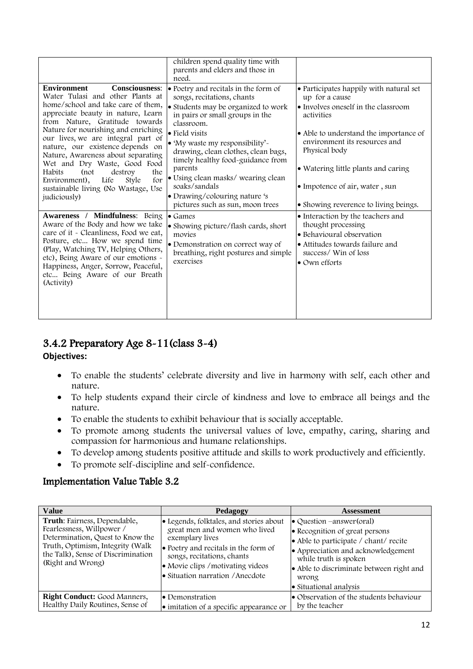|                                                                                                                                                                                                                                                                                                                                                                                                                                                                                                                          | children spend quality time with<br>parents and elders and those in<br>need.                                                                                                                                                                                                                                                                                                                                                      |                                                                                                                                                                                                                                                                                                                              |
|--------------------------------------------------------------------------------------------------------------------------------------------------------------------------------------------------------------------------------------------------------------------------------------------------------------------------------------------------------------------------------------------------------------------------------------------------------------------------------------------------------------------------|-----------------------------------------------------------------------------------------------------------------------------------------------------------------------------------------------------------------------------------------------------------------------------------------------------------------------------------------------------------------------------------------------------------------------------------|------------------------------------------------------------------------------------------------------------------------------------------------------------------------------------------------------------------------------------------------------------------------------------------------------------------------------|
| <b>Consciousness:</b><br><b>Environment</b><br>Water Tulasi and other Plants at<br>home/school and take care of them,<br>appreciate beauty in nature, Learn<br>from Nature, Gratitude towards<br>Nature for nourishing and enriching<br>our lives, we are integral part of<br>nature, our existence depends on<br>Nature, Awareness about separating<br>Wet and Dry Waste, Good Food<br>Habits<br>(not<br>destroy<br>the<br>Life<br>Environment),<br>Style<br>for<br>sustainable living (No Wastage, Use<br>judiciously) | • Poetry and recitals in the form of<br>songs, recitations, chants<br>• Students may be organized to work<br>in pairs or small groups in the<br>classroom.<br>• Field visits<br>• 'My waste my responsibility'-<br>drawing, clean clothes, clean bags,<br>timely healthy food-guidance from<br>parents<br>• Using clean masks/wearing clean<br>soaks/sandals<br>• Drawing/colouring nature 's<br>pictures such as sun, moon trees | • Participates happily with natural set<br>up for a cause<br>• Involves oneself in the classroom<br>activities<br>• Able to understand the importance of<br>environment its resources and<br>Physical body<br>• Watering little plants and caring<br>• Impotence of air, water, sun<br>• Showing reverence to living beings. |
| Awareness / Mindfulness: Being<br>Aware of the Body and how we take<br>care of it - Cleanliness, Food we eat,<br>Posture, etc How we spend time<br>(Play, Watching TV, Helping Others,<br>etc), Being Aware of our emotions -<br>Happiness, Anger, Sorrow, Peaceful,<br>etc Being Aware of our Breath<br>(Activity)                                                                                                                                                                                                      | $\bullet$ Games<br>• Showing picture/flash cards, short<br>movies<br>• Demonstration on correct way of<br>breathing, right postures and simple<br>exercises                                                                                                                                                                                                                                                                       | • Interaction by the teachers and<br>thought processing<br>• Behavioural observation<br>∣● Attitudes towards failure and<br>success/ Win of loss<br>• Own efforts                                                                                                                                                            |

# 3.4.2 Preparatory Age 8-11(class 3-4)

**Objectives:**

- To enable the students' celebrate diversity and live in harmony with self, each other and nature.
- To help students expand their circle of kindness and love to embrace all beings and the nature.
- To enable the students to exhibit behaviour that is socially acceptable.
- To promote among students the universal values of love, empathy, caring, sharing and compassion for harmonious and humane relationships.
- To develop among students positive attitude and skills to work productively and efficiently.
- To promote self-discipline and self-confidence.

| <b>Value</b>                                                                                                                                                                                 | Pedagogy                                                                                                                                                                                                                                   | <b>Assessment</b>                                                                                                                                                                                                                                 |
|----------------------------------------------------------------------------------------------------------------------------------------------------------------------------------------------|--------------------------------------------------------------------------------------------------------------------------------------------------------------------------------------------------------------------------------------------|---------------------------------------------------------------------------------------------------------------------------------------------------------------------------------------------------------------------------------------------------|
| Truth: Fairness, Dependable,<br>Fearlessness, Willpower /<br>Determination, Quest to Know the<br>Truth, Optimism, Integrity (Walk<br>the Talk), Sense of Discrimination<br>(Right and Wrong) | • Legends, folktales, and stories about<br>great men and women who lived<br>exemplary lives<br>• Poetry and recitals in the form of<br>songs, recitations, chants<br>• Movie clips / motivating videos<br>• Situation narration / Anecdote | • Question –answer(oral)<br>• Recognition of great persons<br>• Able to participate / chant/ recite<br>• Appreciation and acknowledgement<br>while truth is spoken<br>• Able to discriminate between right and<br>wrong<br>• Situational analysis |
| Right Conduct: Good Manners,<br>Healthy Daily Routines, Sense of                                                                                                                             | • Demonstration<br>$\bullet$ imitation of a specific appearance or                                                                                                                                                                         | • Observation of the students behaviour<br>by the teacher                                                                                                                                                                                         |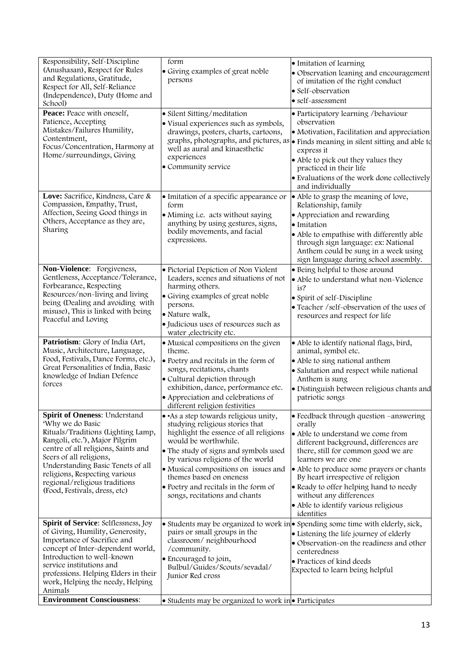| Responsibility, Self-Discipline<br>(Anushasan), Respect for Rules<br>and Regulations, Gratitude,<br>Respect for All, Self-Reliance<br>(Independence), Duty (Home and<br>School)                                                                                                                                                     | form<br>• Giving examples of great noble<br>persons                                                                                                                                                                                                                                                                                                                 | • Imitation of learning<br>· Observation leaning and encouragement<br>of imitation of the right conduct<br>· Self-observation<br>• self-assessment                                                                                                                                                                                                                                                       |
|-------------------------------------------------------------------------------------------------------------------------------------------------------------------------------------------------------------------------------------------------------------------------------------------------------------------------------------|---------------------------------------------------------------------------------------------------------------------------------------------------------------------------------------------------------------------------------------------------------------------------------------------------------------------------------------------------------------------|----------------------------------------------------------------------------------------------------------------------------------------------------------------------------------------------------------------------------------------------------------------------------------------------------------------------------------------------------------------------------------------------------------|
| Peace: Peace with oneself,<br>Patience, Accepting<br>Mistakes/Failures Humility,<br>Contentment,<br>Focus/Concentration, Harmony at<br>Home/surroundings, Giving                                                                                                                                                                    | · Silent Sitting/meditation<br>· Visual experiences such as symbols,<br>drawings, posters, charts, cartoons,<br>well as aural and kinaesthetic<br>experiences<br>· Community service                                                                                                                                                                                | · Participatory learning /behaviour<br>observation<br>• Motivation, Facilitation and appreciation<br>graphs, photographs, and pictures, as $\bullet$ Finds meaning in silent sitting and able to<br>express it<br>• Able to pick out they values they<br>practiced in their life<br>• Evaluations of the work done collectively<br>and individually                                                      |
| Love: Sacrifice, Kindness, Care &<br>Compassion, Empathy, Trust,<br>Affection, Seeing Good things in<br>Others, Acceptance as they are,<br>Sharing                                                                                                                                                                                  | • Imitation of a specific appearance or<br>form<br>• Miming i.e. acts without saying<br>anything by using gestures, signs,<br>bodily movements, and facial<br>expressions.                                                                                                                                                                                          | • Able to grasp the meaning of love,<br>Relationship, family<br>• Appreciation and rewarding<br>• Imitation<br>• Able to empathise with differently able<br>through sign language: ex: National<br>Anthem could be sung in a week using<br>sign language during school assembly.                                                                                                                         |
| Non-Violence: Forgiveness,<br>Gentleness, Acceptance/Tolerance,<br>Forbearance, Respecting<br>Resources/non-living and living<br>being (Dealing and avoiding with<br>misuse), This is linked with being<br>Peaceful and Loving                                                                                                      | · Pictorial Depiction of Non Violent<br>Leaders, scenes and situations of not<br>harming others.<br>• Giving examples of great noble<br>persons.<br>· Nature walk,<br>· Judicious uses of resources such as<br>water , electricity etc.                                                                                                                             | · Being helpful to those around<br>• Able to understand what non-Violence<br>is?<br>• Spirit of self-Discipline<br>· Teacher /self-observation of the uses of<br>resources and respect for life                                                                                                                                                                                                          |
| Patriotism: Glory of India (Art,<br>Music, Architecture, Language,<br>Food, Festivals, Dance Forms, etc.),<br>Great Personalities of India, Basic<br>knowledge of Indian Defence<br>forces                                                                                                                                          | • Musical compositions on the given<br>theme.<br>· Poetry and recitals in the form of<br>songs, recitations, chants<br>· Cultural depiction through<br>exhibition, dance, performance etc.<br>• Appreciation and celebrations of<br>different religion festivities                                                                                                  | · Able to identify national flags, bird,<br>animal, symbol etc.<br>• Able to sing national anthem<br>· Salutation and respect while national<br>Anthem is sung<br>· Distinguish between religious chants and<br>patriotic songs                                                                                                                                                                          |
| Spirit of Oneness: Understand<br>'Why we do Basic<br>Rituals/Traditions (Lighting Lamp,<br>Rangoli, etc.'), Major Pilgrim<br>centre of all religions, Saints and<br>Seers of all religions,<br>Understanding Basic Tenets of all<br>religions, Respecting various<br>regional/religious traditions<br>(Food, Festivals, dress, etc) | • As a step towards religious unity,<br>studying religious stories that<br>highlight the essence of all religions<br>would be worthwhile.<br>• The study of signs and symbols used<br>by various religions of the world<br>• Musical compositions on issues and<br>themes based on oneness<br>• Poetry and recitals in the form of<br>songs, recitations and chants | • Feedback through question –answering<br>orally<br>• Able to understand we come from<br>different background, differences are<br>there, still for common good we are<br>learners we are one<br>• Able to produce some prayers or chants<br>By heart irrespective of religion<br>• Ready to offer helping hand to needy<br>without any differences<br>• Able to identify various religious<br>identities |
| Spirit of Service: Selflessness, Joy<br>of Giving, Humility, Generosity,<br>Importance of Sacrifice and<br>concept of Inter-dependent world,<br>Introduction to well-known<br>service institutions and<br>professions. Helping Elders in their<br>work, Helping the needy, Helping<br>Animals                                       | pairs or small groups in the<br>classroom/neighbourhood<br>/community.<br>• Encouraged to join,<br>Bulbul/Guides/Scouts/sevadal/<br>Junior Red cross                                                                                                                                                                                                                | • Students may be organized to work in • Spending some time with elderly, sick,<br>• Listening the life journey of elderly<br>• Observation-on the readiness and other<br>centeredness<br>• Practices of kind deeds<br>Expected to learn being helpful                                                                                                                                                   |
| <b>Environment Consciousness:</b>                                                                                                                                                                                                                                                                                                   | • Students may be organized to work in • Participates                                                                                                                                                                                                                                                                                                               |                                                                                                                                                                                                                                                                                                                                                                                                          |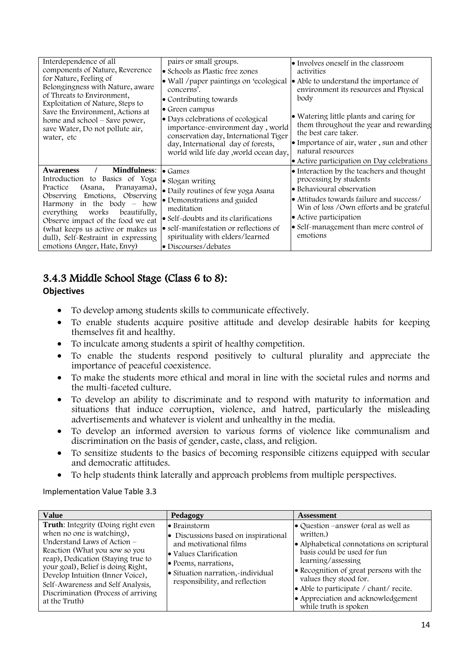| Interdependence of all<br>components of Nature, Reverence<br>for Nature, Feeling of<br>Belongingness with Nature, aware<br>of Threats to Environment,<br>Exploitation of Nature, Steps to<br>Save the Environment, Actions at<br>home and school – Save power,<br>save Water, Do not pollute air,<br>water, etc                                                         | pairs or small groups.<br>• Schools as Plastic free zones<br>• Wall / paper paintings on 'ecological<br>concerns'.<br>• Contributing towards<br>• Green campus<br>• Days celebrations of ecological<br>importance-environment day, world<br>conservation day, International Tiger<br>day, International day of forests,<br>world wild life day , world ocean day, | • Involves oneself in the classroom<br>activities<br>• Able to understand the importance of<br>environment its resources and Physical<br>body<br>• Watering little plants and caring for<br>them throughout the year and rewarding<br>the best care taker.<br>• Importance of air, water, sun and other<br>natural resources<br>• Active participation on Day celebrations |
|-------------------------------------------------------------------------------------------------------------------------------------------------------------------------------------------------------------------------------------------------------------------------------------------------------------------------------------------------------------------------|-------------------------------------------------------------------------------------------------------------------------------------------------------------------------------------------------------------------------------------------------------------------------------------------------------------------------------------------------------------------|----------------------------------------------------------------------------------------------------------------------------------------------------------------------------------------------------------------------------------------------------------------------------------------------------------------------------------------------------------------------------|
| <b>Mindfulness:</b><br><b>Awareness</b><br>Introduction to Basics of Yoga<br>(Asana,<br>Pranayama),<br>Practice<br>Observing Emotions, Observing<br>Harmony in the body $-$ how<br>everything<br>works<br>beautifully,<br>Observe impact of the food we eat<br>(what keeps us active or makes us<br>dull), Self-Restraint in expressing<br>emotions (Anger, Hate, Envy) | $\bullet$ Games<br>· Slogan writing<br>· Daily routines of few yoga Asana<br>• Demonstrations and guided<br>meditation<br>• Self-doubts and its clarifications<br>• self-manifestation or reflections of<br>spirituality with elders/learned<br>• Discourses/debates                                                                                              | • Interaction by the teachers and thought<br>processing by students<br>• Behavioural observation<br>• Attitudes towards failure and success/<br>Win of loss / Own efforts and be grateful<br>• Active participation<br>• Self-management than mere control of<br>emotions                                                                                                  |

# 3.4.3 Middle School Stage (Class 6 to 8):

### **Objectives**

- To develop among students skills to communicate effectively.
- To enable students acquire positive attitude and develop desirable habits for keeping themselves fit and healthy.
- To inculcate among students a spirit of healthy competition.
- To enable the students respond positively to cultural plurality and appreciate the importance of peaceful coexistence.
- To make the students more ethical and moral in line with the societal rules and norms and the multi-faceted culture.
- To develop an ability to discriminate and to respond with maturity to information and situations that induce corruption, violence, and hatred, particularly the misleading advertisements and whatever is violent and unhealthy in the media.
- To develop an informed aversion to various forms of violence like communalism and discrimination on the basis of gender, caste, class, and religion.
- To sensitize students to the basics of becoming responsible citizens equipped with secular and democratic attitudes.
- To help students think laterally and approach problems from multiple perspectives.

| <b>Value</b>                                                                                                                                                                                                                                                                                                                                   | Pedagogy                                                                                                                                                                                                | <b>Assessment</b>                                                                                                                                                                                                                                                                                                               |
|------------------------------------------------------------------------------------------------------------------------------------------------------------------------------------------------------------------------------------------------------------------------------------------------------------------------------------------------|---------------------------------------------------------------------------------------------------------------------------------------------------------------------------------------------------------|---------------------------------------------------------------------------------------------------------------------------------------------------------------------------------------------------------------------------------------------------------------------------------------------------------------------------------|
| Truth: Integrity (Doing right even<br>when no one is watching),<br>Understand Laws of Action $-$<br>Reaction (What you sow so you<br>reap), Dedication (Staying true to<br>your goal), Belief is doing Right,<br>Develop Intuition (Inner Voice),<br>Self-Awareness and Self Analysis,<br>Discrimination (Process of arriving<br>at the Truth) | • Brainstorm<br>• Discussions based on inspirational<br>and motivational films<br>• Values Clarification<br>• Poems, narrations,<br>• Situation narration,-individual<br>responsibility, and reflection | • Question –answer (oral as well as<br>written.<br>• Alphabetical connotations on scriptural<br>basis could be used for fun<br>learning/assessing<br>• Recognition of great persons with the<br>values they stood for.<br>• Able to participate / chant/ recite.<br>• Appreciation and acknowledgement<br>while truth is spoken |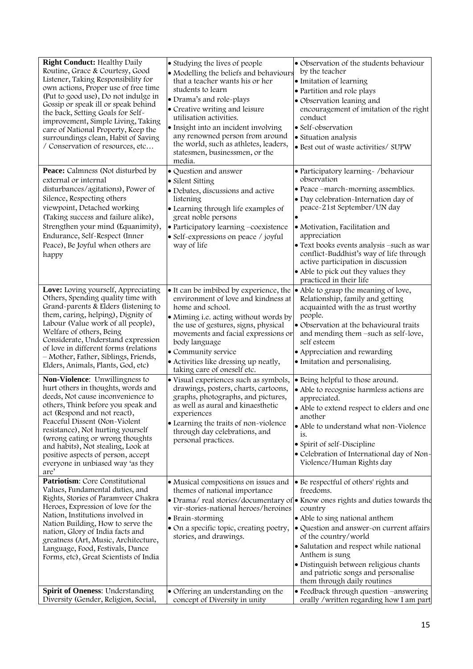| <b>Right Conduct: Healthy Daily</b><br>Routine, Grace & Courtesy, Good<br>Listener, Taking Responsibility for<br>own actions, Proper use of free time<br>(Put to good use), Do not indulge in<br>Gossip or speak ill or speak behind<br>the back, Setting Goals for Self-<br>improvement, Simple Living, Taking<br>care of National Property, Keep the<br>surroundings clean, Habit of Saving<br>/ Conservation of resources, etc                                                                                                                                                                                                                                                                                                                              | • Studying the lives of people<br>• Modelling the beliefs and behaviours<br>that a teacher wants his or her<br>students to learn<br>· Drama's and role-plays<br>• Creative writing and leisure<br>utilisation activities.<br>· Insight into an incident involving<br>any renowned person from around<br>the world, such as athletes, leaders,<br>statesmen, businessmen, or the<br>media.                                                                                                                                                                                                                             | • Observation of the students behaviour<br>by the teacher<br>· Imitation of learning<br>· Partition and role plays<br>• Observation leaning and<br>encouragement of imitation of the right<br>conduct<br>· Self-observation<br>· Situation analysis<br>· Best out of waste activities/ SUPW                                                                                                                                                                                                                                                                                           |
|----------------------------------------------------------------------------------------------------------------------------------------------------------------------------------------------------------------------------------------------------------------------------------------------------------------------------------------------------------------------------------------------------------------------------------------------------------------------------------------------------------------------------------------------------------------------------------------------------------------------------------------------------------------------------------------------------------------------------------------------------------------|-----------------------------------------------------------------------------------------------------------------------------------------------------------------------------------------------------------------------------------------------------------------------------------------------------------------------------------------------------------------------------------------------------------------------------------------------------------------------------------------------------------------------------------------------------------------------------------------------------------------------|---------------------------------------------------------------------------------------------------------------------------------------------------------------------------------------------------------------------------------------------------------------------------------------------------------------------------------------------------------------------------------------------------------------------------------------------------------------------------------------------------------------------------------------------------------------------------------------|
| Peace: Calmness (Not disturbed by<br>external or internal<br>disturbances/agitations), Power of<br>Silence, Respecting others<br>viewpoint, Detached working<br>(Taking success and failure alike),<br>Strengthen your mind (Equanimity),<br>Endurance, Self-Respect (Inner<br>Peace), Be Joyful when others are<br>happy                                                                                                                                                                                                                                                                                                                                                                                                                                      | · Question and answer<br>• Silent Sitting<br>· Debates, discussions and active<br>listening<br>• Learning through life examples of<br>great noble persons<br>• Participatory learning -coexistence<br>· Self-expressions on peace / joyful<br>way of life                                                                                                                                                                                                                                                                                                                                                             | · Participatory learning - /behaviour<br>observation<br>• Peace -march-morning assemblies.<br>· Day celebration-Internation day of<br>peace-21st September/UN day<br>· Motivation, Facilitation and<br>appreciation<br>• Text books events analysis -such as war<br>conflict-Buddhist's way of life through<br>active participation in discussion<br>• Able to pick out they values they<br>practiced in their life                                                                                                                                                                   |
| Love: Loving yourself, Appreciating<br>Others, Spending quality time with<br>Grand-parents & Elders (listening to<br>them, caring, helping), Dignity of<br>Labour (Value work of all people),<br>Welfare of others, Being<br>Considerate, Understand expression<br>of love in different forms (relations<br>- Mother, Father, Siblings, Friends,<br>Elders, Animals, Plants, God, etc)<br>Non-Violence: Unwillingness to<br>hurt others in thoughts, words and<br>deeds, Not cause inconvenience to<br>others, Think before you speak and<br>act (Respond and not react),<br>Peaceful Dissent (Non-Violent<br>resistance), Not hurting yourself<br>(wrong eating or wrong thoughts<br>and habits), Not stealing, Look at<br>positive aspects of person, accept | • It can be imbibed by experience, the<br>environment of love and kindness at<br>home and school.<br>• Miming i.e. acting without words by<br>the use of gestures, signs, physical<br>movements and facial expressions or<br>body language<br>• Community service<br>· Activities like dressing up neatly,<br>taking care of oneself etc.<br>· Visual experiences such as symbols,<br>drawings, posters, charts, cartoons,<br>graphs, photographs, and pictures,<br>as well as aural and kinaesthetic<br>experiences<br>• Learning the traits of non-violence<br>through day celebrations, and<br>personal practices. | • Able to grasp the meaning of love,<br>Relationship, family and getting<br>acquainted with the as trust worthy<br>people.<br>• Observation at the behavioural traits<br>and mending them -such as self-love,<br>self esteem<br>• Appreciation and rewarding<br>· Imitation and personalising.<br>• Being helpful to those around.<br>• Able to recognise harmless actions are<br>appreciated.<br>• Able to extend respect to elders and one<br>another<br>• Able to understand what non-Violence<br>is.<br>• Spirit of self-Discipline<br>• Celebration of International day of Non- |
| everyone in unbiased way 'as they<br>are'<br>Patriotism: Core Constitutional                                                                                                                                                                                                                                                                                                                                                                                                                                                                                                                                                                                                                                                                                   |                                                                                                                                                                                                                                                                                                                                                                                                                                                                                                                                                                                                                       | Violence/Human Rights day                                                                                                                                                                                                                                                                                                                                                                                                                                                                                                                                                             |
| Values, Fundamental duties, and<br>Rights, Stories of Paramveer Chakra<br>Heroes, Expression of love for the<br>Nation, Institutions involved in<br>Nation Building, How to serve the<br>nation, Glory of India facts and<br>greatness (Art, Music, Architecture,<br>Language, Food, Festivals, Dance<br>Forms, etc), Great Scientists of India                                                                                                                                                                                                                                                                                                                                                                                                                | • Musical compositions on issues and<br>themes of national importance<br>vir-stories-national heroes/heroines<br>• Brain-storming<br>• On a specific topic, creating poetry,<br>stories, and drawings.                                                                                                                                                                                                                                                                                                                                                                                                                | • Be respectful of others' rights and<br>freedoms.<br>• Drama/real stories/documentary of • Know ones rights and duties towards the<br>country<br>• Able to sing national anthem<br>· Question and answer-on current affairs<br>of the country/world<br>• Salutation and respect while national<br>Anthem is sung<br>· Distinguish between religious chants<br>and patriotic songs and personalise<br>them through daily routines                                                                                                                                                     |
| Spirit of Oneness: Understanding<br>Diversity (Gender, Religion, Social,                                                                                                                                                                                                                                                                                                                                                                                                                                                                                                                                                                                                                                                                                       | • Offering an understanding on the<br>concept of Diversity in unity                                                                                                                                                                                                                                                                                                                                                                                                                                                                                                                                                   | • Feedback through question -answering<br>orally /written regarding how I am part                                                                                                                                                                                                                                                                                                                                                                                                                                                                                                     |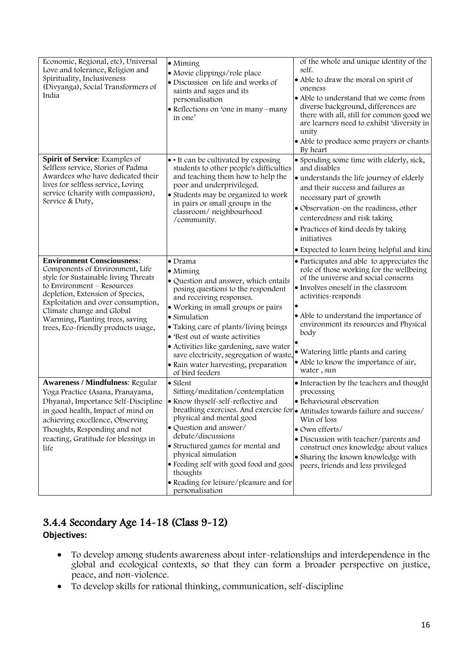| Economic, Regional, etc), Universal<br>Love and tolerance, Religion and<br>Spirituality, Inclusiveness<br>(Divyanga), Social Transformers of<br>India                                                                                                                                                                       | $\bullet$ Miming<br>· Movie clippings/role place<br>· Discussion on life and works of<br>saints and sages and its<br>personalisation<br>• Reflections on 'one in many -many<br>in one'                                                                                                                                                                                                                                           | of the whole and unique identity of the<br>self.<br>• Able to draw the moral on spirit of<br>oneness<br>• Able to understand that we come from<br>diverse background, differences are<br>there with all, still for common good we<br>are learners need to exhibit 'diversity in<br>unity<br>• Able to produce some prayers or chants                                                 |
|-----------------------------------------------------------------------------------------------------------------------------------------------------------------------------------------------------------------------------------------------------------------------------------------------------------------------------|----------------------------------------------------------------------------------------------------------------------------------------------------------------------------------------------------------------------------------------------------------------------------------------------------------------------------------------------------------------------------------------------------------------------------------|--------------------------------------------------------------------------------------------------------------------------------------------------------------------------------------------------------------------------------------------------------------------------------------------------------------------------------------------------------------------------------------|
| Spirit of Service: Examples of<br>Selfless service, Stories of Padma<br>Awardees who have dedicated their<br>lives for selfless service, Loving<br>service (charity with compassion),<br>Service & Duty,                                                                                                                    | • It can be cultivated by exposing<br>students to other people's difficulties<br>and teaching them how to help the<br>poor and underprivileged.<br>• Students may be organized to work<br>in pairs or small groups in the<br>classroom/neighbourhood<br>/community.                                                                                                                                                              | By heart<br>• Spending some time with elderly, sick,<br>and disables<br>· understands the life journey of elderly<br>and their success and failures as<br>necessary part of growth<br>• Observation-on the readiness, other<br>centeredness and risk taking<br>• Practices of kind deeds by taking<br>initiatives<br>• Expected to learn being helpful and kind                      |
| <b>Environment Consciousness:</b><br>Components of Environment, Life<br>style for Sustainable living Threats<br>to Environment - Resources<br>depletion, Extension of Species,<br>Exploitation and over consumption,<br>Climate change and Global<br>Warming, Planting trees, saving<br>trees, Eco-friendly products usage, | $\bullet$ Drama<br>$\bullet$ Miming<br>• Question and answer, which entails<br>posing questions to the respondent<br>and receiving responses.<br>· Working in small groups or pairs<br>• Simulation<br>• Taking care of plants/living beings<br>• 'Best out of waste activities<br>· Activities like gardening, save water<br>save electricity, segregation of waste,<br>· Rain water harvesting, preparation<br>of bird feeders | • Participates and able to appreciates the<br>role of those working for the wellbeing<br>of the universe and social conserns<br>• Involves oneself in the classroom<br>activities-responds<br>• Able to understand the importance of<br>environment its resources and Physical<br>body<br>· Watering little plants and caring<br>• Able to know the importance of air,<br>water, sun |
| <b>Awareness / Mindfulness: Regular</b><br>Yoga Practice (Asana, Pranayama,<br>Dhyana), Importance Self-Discipline<br>in good health, Impact of mind on<br>achieving excellence, Observing<br>Thoughts, Responding and not<br>reacting, Gratitude for blessings in<br>life                                                  | • Silent<br>Sitting/meditation/contemplation<br>• Know thyself-self-reflective and<br>physical and mental good<br>· Question and answer/<br>debate/discussions<br>• Structured games for mental and<br>physical simulation<br>• Feeding self with good food and good<br>thoughts<br>• Reading for leisure/pleasure and for<br>personalisation                                                                                    | • Interaction by the teachers and thought<br>processing<br>· Behavioural observation<br>breathing exercises. And exercise for • Attitudes towards failure and success/<br>Win of loss<br>· Own efforts/<br>· Discussion with teacher/parents and<br>construct ones knowledge about values<br>• Sharing the known knowledge with<br>peers, friends and less privileged                |

## 3.4.4 Secondary Age 14-18 (Class 9-12) **Objectives:**

- To develop among students awareness about inter-relationships and interdependence in the global and ecological contexts, so that they can form a broader perspective on justice, peace, and non-violence.
- To develop skills for rational thinking, communication, self-discipline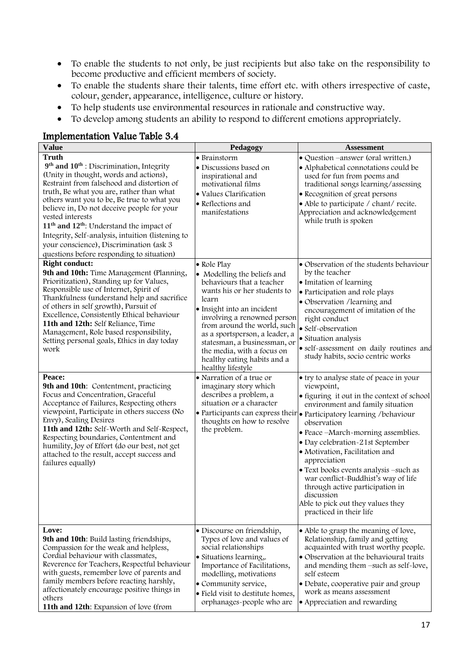- To enable the students to not only, be just recipients but also take on the responsibility to become productive and efficient members of society.
- To enable the students share their talents, time effort etc. with others irrespective of caste, colour, gender, appearance, intelligence, culture or history.
- To help students use environmental resources in rationale and constructive way.
- To develop among students an ability to respond to different emotions appropriately.

#### **Value Pedagogy Assessment Truth 9 th and 10th** : Discrimination, Integrity (Unity in thought, words and actions), Restraint from falsehood and distortion of truth, Be what you are, rather than what others want you to be, Be true to what you believe in, Do not deceive people for your vested interests **11th and 12th**: Understand the impact of Integrity, Self-analysis, intuition (listening to your conscience), Discrimination (ask 3 questions before responding to situation) • Brainstorm • Discussions based on inspirational and motivational films • Values Clarification • Reflections and manifestations • Question –answer (oral written.) • Alphabetical connotations could be used for fun from poems and traditional songs learning/assessing • Recognition of great persons • Able to participate / chant/ recite. Appreciation and acknowledgement while truth is spoken **Right conduct:** 9th and 10th: Time Management (Planning, Prioritization), Standing up for Values, Responsible use of Internet, Spirit of Thankfulness (understand help and sacrifice of others in self growth), Pursuit of Excellence, Consistently Ethical behaviour **11th and 12th:** Self Reliance, Time Management, Role based responsibility, Setting personal goals, Ethics in day today work • Role Play • Modelling the beliefs and behaviours that a teacher wants his or her students to learn • Insight into an incident involving a renowned person from around the world, such as a sportsperson, a leader, a statesman, a businessman, or the media, with a focus on healthy eating habits and a healthy lifestyle • Observation of the students behaviour by the teacher • Imitation of learning • Participation and role plays • Observation /learning and encouragement of imitation of the right conduct • Self-observation • Situation analysis • self-assessment on daily routines and study habits, socio centric works **Peace: 9th and 10th**: Contentment, practicing Focus and Concentration, Graceful Acceptance of Failures, Respecting others viewpoint, Participate in others success (No Envy), Sealing Desires **11th and 12th:** Self-Worth and Self-Respect, Respecting boundaries, Contentment and humility, Joy of Effort (do our best, not get attached to the result, accept success and failures equally) • Narration of a true or imaginary story which describes a problem, a situation or a character • Participants can express their thoughts on how to resolve the problem. • try to analyse state of peace in your viewpoint, • figuring it out in the context of school environment and family situation • Participatory learning /behaviour observation • Peace –March-morning assemblies. • Day celebration-21st September • Motivation, Facilitation and appreciation • Text books events analysis –such as war conflict-Buddhist's way of life through active participation in discussion Able to pick out they values they practiced in their life **Love: 9th and 10th**: Build lasting friendships, Compassion for the weak and helpless, Cordial behaviour with classmates, Reverence for Teachers, Respectful behaviour with guests, remember love of parents and family members before reacting harshly, affectionately encourage positive things in others **11th and 12th**: Expansion of love (from • Discourse on friendship, Types of love and values of social relationships • Situations learning,. Importance of Facilitations, modelling, motivations • Community service, • Field visit to destitute homes, orphanages-people who are • Able to grasp the meaning of love, Relationship, family and getting acquainted with trust worthy people. • Observation at the behavioural traits and mending them –such as self-love, self esteem • Debate, cooperative pair and group work as means assessment • Appreciation and rewarding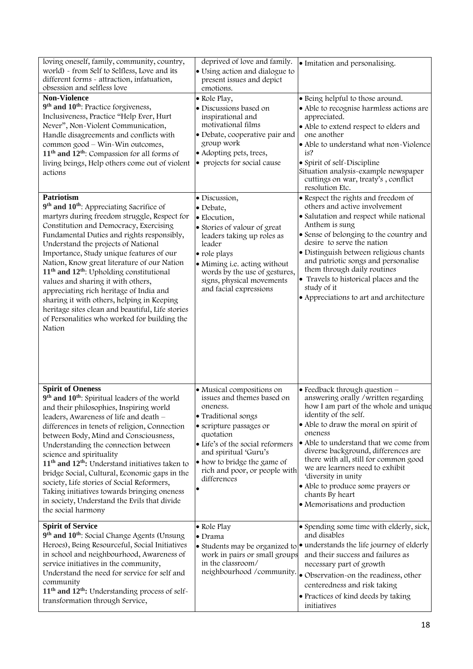| loving oneself, family, community, country,<br>world) - from Self to Selfless, Love and its<br>different forms - attraction, infatuation,<br>obsession and selfless love                                                                                                                                                                                                                                                                                                                                                                                                                                                                                | deprived of love and family.<br>• Using action and dialogue to<br>present issues and depict<br>emotions.                                                                                                                                                                            | · Imitation and personalising.                                                                                                                                                                                                                                                                                                                                                                                                                                                      |
|---------------------------------------------------------------------------------------------------------------------------------------------------------------------------------------------------------------------------------------------------------------------------------------------------------------------------------------------------------------------------------------------------------------------------------------------------------------------------------------------------------------------------------------------------------------------------------------------------------------------------------------------------------|-------------------------------------------------------------------------------------------------------------------------------------------------------------------------------------------------------------------------------------------------------------------------------------|-------------------------------------------------------------------------------------------------------------------------------------------------------------------------------------------------------------------------------------------------------------------------------------------------------------------------------------------------------------------------------------------------------------------------------------------------------------------------------------|
| <b>Non-Violence</b><br>9 <sup>th</sup> and 10 <sup>th</sup> : Practice forgiveness,<br>Inclusiveness, Practice "Help Ever, Hurt<br>Never", Non-Violent Communication,<br>Handle disagreements and conflicts with<br>common good - Win-Win outcomes,<br>$11th$ and $12th$ : Compassion for all forms of<br>living beings, Help others come out of violent<br>actions                                                                                                                                                                                                                                                                                     | · Role Play,<br>· Discussions based on<br>inspirational and<br>motivational films<br>• Debate, cooperative pair and<br>group work<br>• Adopting pets, trees,<br>• projects for social cause                                                                                         | · Being helpful to those around.<br>· Able to recognise harmless actions are<br>appreciated.<br>• Able to extend respect to elders and<br>one another<br>• Able to understand what non-Violence<br>is?<br>• Spirit of self-Discipline<br>Situation analysis-example newspaper<br>cuttings on war, treaty's, conflict<br>resolution Etc.                                                                                                                                             |
| <b>Patriotism</b><br>9th and 10th: Appreciating Sacrifice of<br>martyrs during freedom struggle, Respect for<br>Constitution and Democracy, Exercising<br>Fundamental Duties and rights responsibly,<br>Understand the projects of National<br>Importance, Study unique features of our<br>Nation, Know great literature of our Nation<br>11 <sup>th</sup> and 12 <sup>th</sup> : Upholding constitutional<br>values and sharing it with others,<br>appreciating rich heritage of India and<br>sharing it with others, helping in Keeping<br>heritage sites clean and beautiful, Life stories<br>of Personalities who worked for building the<br>Nation | · Discussion,<br>· Debate,<br>· Elocution,<br>· Stories of valour of great<br>leaders taking up roles as<br>leader<br>· role plays<br>• Miming i.e. acting without<br>words by the use of gestures,<br>signs, physical movements<br>and facial expressions                          | • Respect the rights and freedom of<br>others and active involvement<br>· Salutation and respect while national<br>Anthem is sung<br>• Sense of belonging to the country and<br>desire to serve the nation<br>· Distinguish between religious chants<br>and patriotic songs and personalise<br>them through daily routines<br>• Travels to historical places and the<br>study of it<br>• Appreciations to art and architecture                                                      |
| <b>Spirit of Oneness</b><br>9th and 10th: Spiritual leaders of the world<br>and their philosophies, Inspiring world<br>leaders, Awareness of life and death -<br>differences in tenets of religion, Connection<br>between Body, Mind and Consciousness,<br>Understanding the connection between<br>science and spirituality<br>$11th$ and $12th$ : Understand initiatives taken to<br>bridge Social, Cultural, Economic gaps in the<br>society, Life stories of Social Reformers,<br>Taking initiatives towards bringing oneness<br>in society, Understand the Evils that divide<br>the social harmony                                                  | • Musical compositions on<br>issues and themes based on<br>oneness.<br>· Traditional songs<br>• scripture passages or<br>quotation<br>• Life's of the social reformers<br>and spiritual 'Guru's<br>• how to bridge the game of<br>rich and poor, or people with<br>differences<br>٠ | $\bullet$ Feedback through question $-$<br>answering orally / written regarding<br>how I am part of the whole and unique<br>identity of the self.<br>• Able to draw the moral on spirit of<br>oneness<br>• Able to understand that we come from<br>diverse background, differences are<br>there with all, still for common good<br>we are learners need to exhibit<br>'diversity in unity<br>· Able to produce some prayers or<br>chants By heart<br>• Memorisations and production |
| <b>Spirit of Service</b><br>9th and 10th: Social Change Agents (Unsung<br>Heroes), Being Resourceful, Social Initiatives<br>in school and neighbourhood, Awareness of<br>service initiatives in the community,<br>Understand the need for service for self and<br>community<br>11 <sup>th</sup> and 12 <sup>th</sup> : Understanding process of self-<br>transformation through Service,                                                                                                                                                                                                                                                                | • Role Play<br>$\bullet$ Drama<br>• Students may be organized to<br>work in pairs or small groups<br>in the classroom/<br>neighbourhood /community.                                                                                                                                 | • Spending some time with elderly, sick,<br>and disables<br>· understands the life journey of elderly<br>and their success and failures as<br>necessary part of growth<br>· Observation-on the readiness, other<br>centeredness and risk taking<br>• Practices of kind deeds by taking<br>initiatives                                                                                                                                                                               |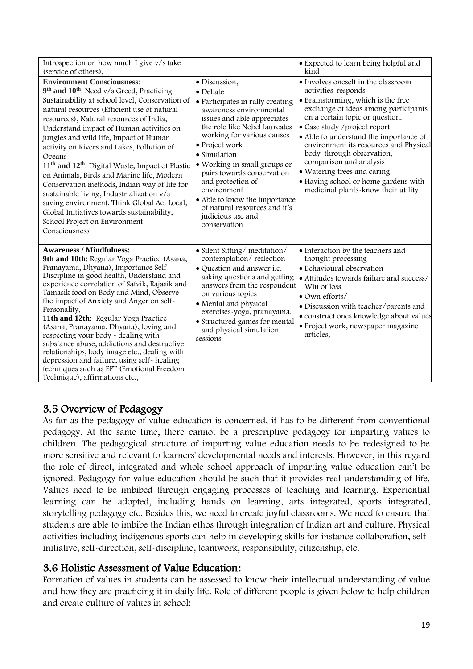| Introspection on how much I give v/s take                                                                                                                                                                                                                                                                                                                                                                                                                                                                                                                                                                                                                                                                                                                             |                                                                                                                                                                                                                                                                                                                                                                                                                                           | • Expected to learn being helpful and<br>kind                                                                                                                                                                                                                                                                                                                                                                                                                          |
|-----------------------------------------------------------------------------------------------------------------------------------------------------------------------------------------------------------------------------------------------------------------------------------------------------------------------------------------------------------------------------------------------------------------------------------------------------------------------------------------------------------------------------------------------------------------------------------------------------------------------------------------------------------------------------------------------------------------------------------------------------------------------|-------------------------------------------------------------------------------------------------------------------------------------------------------------------------------------------------------------------------------------------------------------------------------------------------------------------------------------------------------------------------------------------------------------------------------------------|------------------------------------------------------------------------------------------------------------------------------------------------------------------------------------------------------------------------------------------------------------------------------------------------------------------------------------------------------------------------------------------------------------------------------------------------------------------------|
| (service of others),<br><b>Environment Consciousness:</b><br>9th and 10th: Need v/s Greed, Practicing<br>Sustainability at school level, Conservation of<br>natural resources (Efficient use of natural<br>resources), Natural resources of India,<br>Understand impact of Human activities on<br>jungles and wild life, Impact of Human<br>activity on Rivers and Lakes, Pollution of<br>Oceans<br>11 <sup>th</sup> and 12 <sup>th</sup> : Digital Waste, Impact of Plastic<br>on Animals, Birds and Marine life, Modern<br>Conservation methods, Indian way of life for<br>sustainable living, Industrialization v/s<br>saving environment, Think Global Act Local,<br>Global Initiatives towards sustainability,<br>School Project on Environment<br>Consciousness | · Discussion,<br>$\bullet$ Debate<br>• Participates in rally creating<br>awareness environmental<br>issues and able appreciates<br>the role like Nobel laureates<br>working for various causes<br>• Project work<br>• Simulation<br>• Working in small groups or<br>pairs towards conservation<br>and protection of<br>environment<br>• Able to know the importance<br>of natural resources and it's<br>judicious use and<br>conservation | • Involves oneself in the classroom<br>activities-responds<br>• Brainstorming, which is the free<br>exchange of ideas among participants<br>on a certain topic or question.<br>• Case study / project report<br>• Able to understand the importance of<br>environment its resources and Physical<br>body through observation,<br>comparison and analysis<br>• Watering trees and caring<br>• Having school or home gardens with<br>medicinal plants-know their utility |
| <b>Awareness / Mindfulness:</b><br>9th and 10th: Regular Yoga Practice (Asana,<br>Pranayama, Dhyana), Importance Self-<br>Discipline in good health, Understand and<br>experience correlation of Satvik, Rajasik and<br>Tamasik food on Body and Mind, Observe<br>the impact of Anxiety and Anger on self-<br>Personality,<br>11th and 12th: Regular Yoga Practice<br>(Asana, Pranayama, Dhyana), loving and<br>respecting your body - dealing with<br>substance abuse, addictions and destructive<br>relationships, body image etc., dealing with<br>depression and failure, using self-healing<br>techniques such as EFT (Emotional Freedom<br>Technique), affirmations etc.,                                                                                       | • Silent Sitting/meditation/<br>contemplation/reflection<br>• Question and answer i.e.<br>asking questions and getting<br>answers from the respondent<br>on various topics<br>• Mental and physical<br>exercises-yoga, pranayama.<br>• Structured games for mental<br>and physical simulation<br>sessions                                                                                                                                 | • Interaction by the teachers and<br>thought processing<br>· Behavioural observation<br>• Attitudes towards failure and success/<br>Win of loss<br>· Own efforts/<br>· Discussion with teacher/parents and<br>· construct ones knowledge about values<br>· Project work, newspaper magazine<br>articles.                                                                                                                                                               |

# 3.5 Overview of Pedagogy

As far as the pedagogy of value education is concerned, it has to be different from conventional pedagogy. At the same time, there cannot be a prescriptive pedagogy for imparting values to children. The pedagogical structure of imparting value education needs to be redesigned to be more sensitive and relevant to learners' developmental needs and interests. However, in this regard the role of direct, integrated and whole school approach of imparting value education can't be ignored. Pedagogy for value education should be such that it provides real understanding of life. Values need to be imbibed through engaging processes of teaching and learning. Experiential learning can be adopted, including hands on learning, arts integrated, sports integrated, storytelling pedagogy etc. Besides this, we need to create joyful classrooms. We need to ensure that students are able to imbibe the Indian ethos through integration of Indian art and culture. Physical activities including indigenous sports can help in developing skills for instance collaboration, selfinitiative, self-direction, self-discipline, teamwork, responsibility, citizenship, etc.

### 3.6 Holistic Assessment of Value Education**:**

Formation of values in students can be assessed to know their intellectual understanding of value and how they are practicing it in daily life. Role of different people is given below to help children and create culture of values in school: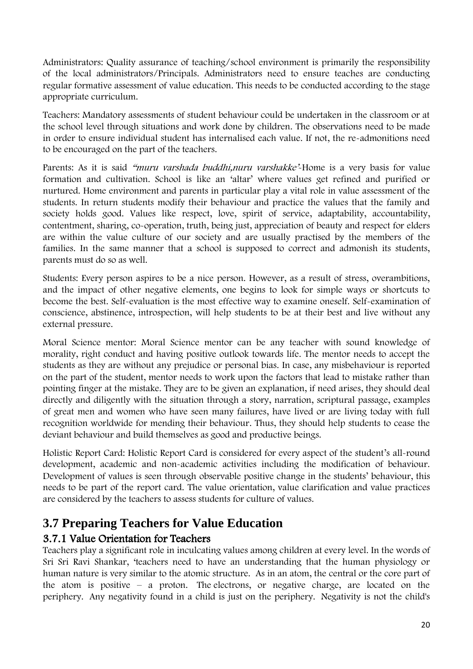Administrators: Quality assurance of teaching/school environment is primarily the responsibility of the local administrators/Principals. Administrators need to ensure teaches are conducting regular formative assessment of value education. This needs to be conducted according to the stage appropriate curriculum.

Teachers: Mandatory assessments of student behaviour could be undertaken in the classroom or at the school level through situations and work done by children. The observations need to be made in order to ensure individual student has internalised each value. If not, the re-admonitions need to be encouraged on the part of the teachers.

Parents: As it is said "muru varshada buddhi, nuru varshakke<sup>2</sup>-Home is a very basis for value formation and cultivation. School is like an 'altar' where values get refined and purified or nurtured. Home environment and parents in particular play a vital role in value assessment of the students. In return students modify their behaviour and practice the values that the family and society holds good. Values like respect, love, spirit of service, adaptability, accountability, contentment, sharing, co-operation, truth, being just, appreciation of beauty and respect for elders are within the value culture of our society and are usually practised by the members of the families. In the same manner that a school is supposed to correct and admonish its students, parents must do so as well.

Students: Every person aspires to be a nice person. However, as a result of stress, overambitions, and the impact of other negative elements, one begins to look for simple ways or shortcuts to become the best. Self-evaluation is the most effective way to examine oneself. Self-examination of conscience, abstinence, introspection, will help students to be at their best and live without any external pressure.

Moral Science mentor: Moral Science mentor can be any teacher with sound knowledge of morality, right conduct and having positive outlook towards life. The mentor needs to accept the students as they are without any prejudice or personal bias. In case, any misbehaviour is reported on the part of the student, mentor needs to work upon the factors that lead to mistake rather than pointing finger at the mistake. They are to be given an explanation, if need arises, they should deal directly and diligently with the situation through a story, narration, scriptural passage, examples of great men and women who have seen many failures, have lived or are living today with full recognition worldwide for mending their behaviour. Thus, they should help students to cease the deviant behaviour and build themselves as good and productive beings.

Holistic Report Card: Holistic Report Card is considered for every aspect of the student's all-round development, academic and non-academic activities including the modification of behaviour. Development of values is seen through observable positive change in the students' behaviour, this needs to be part of the report card. The value orientation, value clarification and value practices are considered by the teachers to assess students for culture of values.

# **3.7 Preparing Teachers for Value Education**

# 3.7.1 Value Orientation for Teachers

Teachers play a significant role in inculcating values among children at every level. In the words of Sri Sri Ravi Shankar, 'teachers need to have an understanding that the human physiology or human nature is very similar to the atomic structure. As in an atom, the central or the core part of the atom is positive – a proton. The electrons, or negative charge, are located on the periphery. Any negativity found in a child is just on the periphery. Negativity is not the child's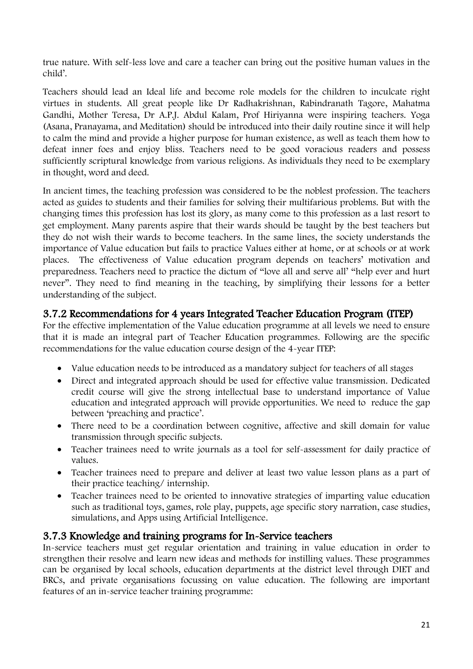true nature. With self-less love and care a teacher can bring out the positive human values in the child'.

Teachers should lead an Ideal life and become role models for the children to inculcate right virtues in students. All great people like Dr Radhakrishnan, Rabindranath Tagore, Mahatma Gandhi, Mother Teresa, Dr A.P.J. Abdul Kalam, Prof Hiriyanna were inspiring teachers. Yoga (Asana, Pranayama, and Meditation) should be introduced into their daily routine since it will help to calm the mind and provide a higher purpose for human existence, as well as teach them how to defeat inner foes and enjoy bliss. Teachers need to be good voracious readers and possess sufficiently scriptural knowledge from various religions. As individuals they need to be exemplary in thought, word and deed.

In ancient times, the teaching profession was considered to be the noblest profession. The teachers acted as guides to students and their families for solving their multifarious problems. But with the changing times this profession has lost its glory, as many come to this profession as a last resort to get employment. Many parents aspire that their wards should be taught by the best teachers but they do not wish their wards to become teachers. In the same lines, the society understands the importance of Value education but fails to practice Values either at home, or at schools or at work places. The effectiveness of Value education program depends on teachers' motivation and preparedness. Teachers need to practice the dictum of "love all and serve all' "help ever and hurt never". They need to find meaning in the teaching, by simplifying their lessons for a better understanding of the subject.

### 3.7.2 Recommendations for 4 years Integrated Teacher Education Program (ITEP)

For the effective implementation of the Value education programme at all levels we need to ensure that it is made an integral part of Teacher Education programmes. Following are the specific recommendations for the value education course design of the 4-year ITEP:

- Value education needs to be introduced as a mandatory subject for teachers of all stages
- Direct and integrated approach should be used for effective value transmission. Dedicated credit course will give the strong intellectual base to understand importance of Value education and integrated approach will provide opportunities. We need to reduce the gap between 'preaching and practice'.
- There need to be a coordination between cognitive, affective and skill domain for value transmission through specific subjects.
- Teacher trainees need to write journals as a tool for self-assessment for daily practice of values.
- Teacher trainees need to prepare and deliver at least two value lesson plans as a part of their practice teaching/ internship.
- Teacher trainees need to be oriented to innovative strategies of imparting value education such as traditional toys, games, role play, puppets, age specific story narration, case studies, simulations, and Apps using Artificial Intelligence.

### 3.7.3 Knowledge and training programs for In-Service teachers

In-service teachers must get regular orientation and training in value education in order to strengthen their resolve and learn new ideas and methods for instilling values. These programmes can be organised by local schools, education departments at the district level through DIET and BRCs, and private organisations focussing on value education. The following are important features of an in-service teacher training programme: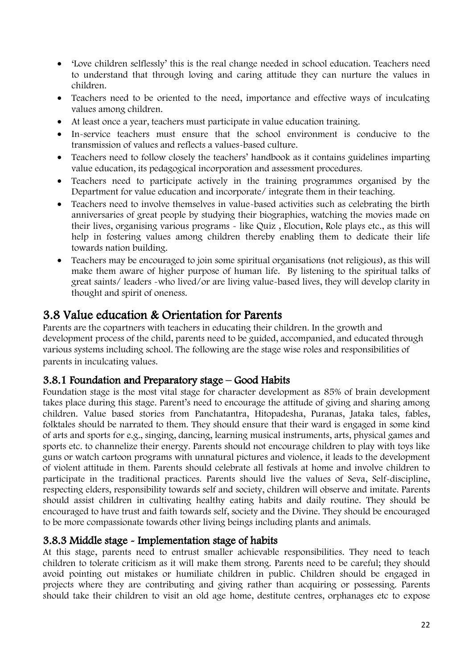- 'Love children selflessly' this is the real change needed in school education. Teachers need to understand that through loving and caring attitude they can nurture the values in children.
- Teachers need to be oriented to the need, importance and effective ways of inculcating values among children.
- At least once a year, teachers must participate in value education training.
- In-service teachers must ensure that the school environment is conducive to the transmission of values and reflects a values-based culture.
- Teachers need to follow closely the teachers' handbook as it contains guidelines imparting value education, its pedagogical incorporation and assessment procedures.
- Teachers need to participate actively in the training programmes organised by the Department for value education and incorporate/ integrate them in their teaching.
- Teachers need to involve themselves in value-based activities such as celebrating the birth anniversaries of great people by studying their biographies, watching the movies made on their lives, organising various programs - like Quiz , Elocution, Role plays etc., as this will help in fostering values among children thereby enabling them to dedicate their life towards nation building.
- Teachers may be encouraged to join some spiritual organisations (not religious), as this will make them aware of higher purpose of human life. By listening to the spiritual talks of great saints/ leaders -who lived/or are living value-based lives, they will develop clarity in thought and spirit of oneness.

# 3.8 Value education & Orientation for Parents

Parents are the copartners with teachers in educating their children. In the growth and development process of the child, parents need to be guided, accompanied, and educated through various systems including school. The following are the stage wise roles and responsibilities of parents in inculcating values.

### 3.8.1 Foundation and Preparatory stage – Good Habits

Foundation stage is the most vital stage for character development as 85% of brain development takes place during this stage. Parent's need to encourage the attitude of giving and sharing among children. Value based stories from Panchatantra, Hitopadesha, Puranas, Jataka tales, fables, folktales should be narrated to them. They should ensure that their ward is engaged in some kind of arts and sports for e.g., singing, dancing, learning musical instruments, arts, physical games and sports etc. to channelize their energy. Parents should not encourage children to play with toys like guns or watch cartoon programs with unnatural pictures and violence, it leads to the development of violent attitude in them. Parents should celebrate all festivals at home and involve children to participate in the traditional practices. Parents should live the values of Seva, Self-discipline, respecting elders, responsibility towards self and society, children will observe and imitate. Parents should assist children in cultivating healthy eating habits and daily routine. They should be encouraged to have trust and faith towards self, society and the Divine. They should be encouraged to be more compassionate towards other living beings including plants and animals.

### 3.8.3 Middle stage - Implementation stage of habits

At this stage, parents need to entrust smaller achievable responsibilities. They need to teach children to tolerate criticism as it will make them strong. Parents need to be careful; they should avoid pointing out mistakes or humiliate children in public. Children should be engaged in projects where they are contributing and giving rather than acquiring or possessing. Parents should take their children to visit an old age home, destitute centres, orphanages etc to expose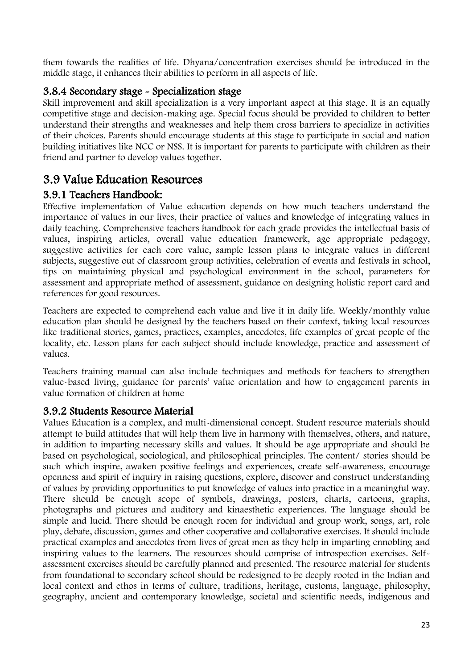them towards the realities of life. Dhyana/concentration exercises should be introduced in the middle stage, it enhances their abilities to perform in all aspects of life.

# 3.8.4 Secondary stage - Specialization stage

Skill improvement and skill specialization is a very important aspect at this stage. It is an equally competitive stage and decision-making age. Special focus should be provided to children to better understand their strengths and weaknesses and help them cross barriers to specialize in activities of their choices. Parents should encourage students at this stage to participate in social and nation building initiatives like NCC or NSS. It is important for parents to participate with children as their friend and partner to develop values together.

# 3.9 Value Education Resources

# 3.9.1 Teachers Handbook:

Effective implementation of Value education depends on how much teachers understand the importance of values in our lives, their practice of values and knowledge of integrating values in daily teaching. Comprehensive teachers handbook for each grade provides the intellectual basis of values, inspiring articles, overall value education framework, age appropriate pedagogy, suggestive activities for each core value, sample lesson plans to integrate values in different subjects, suggestive out of classroom group activities, celebration of events and festivals in school, tips on maintaining physical and psychological environment in the school, parameters for assessment and appropriate method of assessment, guidance on designing holistic report card and references for good resources.

Teachers are expected to comprehend each value and live it in daily life. Weekly/monthly value education plan should be designed by the teachers based on their context, taking local resources like traditional stories, games, practices, examples, anecdotes, life examples of great people of the locality, etc. Lesson plans for each subject should include knowledge, practice and assessment of values.

Teachers training manual can also include techniques and methods for teachers to strengthen value-based living, guidance for parents' value orientation and how to engagement parents in value formation of children at home

# 3.9.2 Students Resource Material

Values Education is a complex, and multi-dimensional concept. Student resource materials should attempt to build attitudes that will help them live in harmony with themselves, others, and nature, in addition to imparting necessary skills and values. It should be age appropriate and should be based on psychological, sociological, and philosophical principles. The content/ stories should be such which inspire, awaken positive feelings and experiences, create self-awareness, encourage openness and spirit of inquiry in raising questions, explore, discover and construct understanding of values by providing opportunities to put knowledge of values into practice in a meaningful way. There should be enough scope of symbols, drawings, posters, charts, cartoons, graphs, photographs and pictures and auditory and kinaesthetic experiences. The language should be simple and lucid. There should be enough room for individual and group work, songs, art, role play, debate, discussion, games and other cooperative and collaborative exercises. It should include practical examples and anecdotes from lives of great men as they help in imparting ennobling and inspiring values to the learners. The resources should comprise of introspection exercises. Selfassessment exercises should be carefully planned and presented. The resource material for students from foundational to secondary school should be redesigned to be deeply rooted in the Indian and local context and ethos in terms of culture, traditions, heritage, customs, language, philosophy, geography, ancient and contemporary knowledge, societal and scientific needs, indigenous and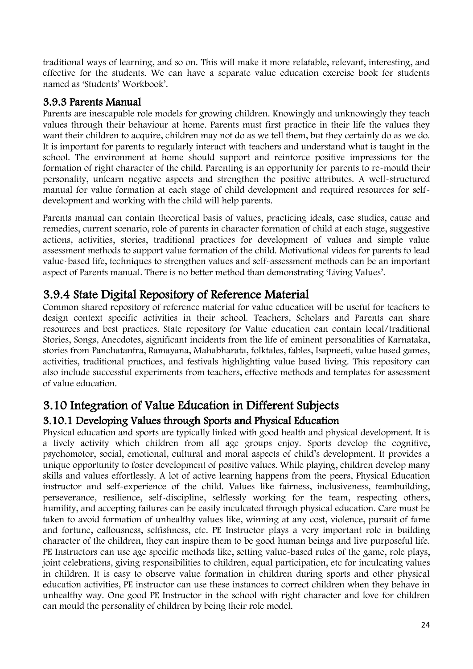traditional ways of learning, and so on. This will make it more relatable, relevant, interesting, and effective for the students. We can have a separate value education exercise book for students named as 'Students' Workbook'.

### 3.9.3 Parents Manual

Parents are inescapable role models for growing children. Knowingly and unknowingly they teach values through their behaviour at home. Parents must first practice in their life the values they want their children to acquire, children may not do as we tell them, but they certainly do as we do. It is important for parents to regularly interact with teachers and understand what is taught in the school. The environment at home should support and reinforce positive impressions for the formation of right character of the child. Parenting is an opportunity for parents to re-mould their personality, unlearn negative aspects and strengthen the positive attributes. A well-structured manual for value formation at each stage of child development and required resources for selfdevelopment and working with the child will help parents.

Parents manual can contain theoretical basis of values, practicing ideals, case studies, cause and remedies, current scenario, role of parents in character formation of child at each stage, suggestive actions, activities, stories, traditional practices for development of values and simple value assessment methods to support value formation of the child. Motivational videos for parents to lead value-based life, techniques to strengthen values and self-assessment methods can be an important aspect of Parents manual. There is no better method than demonstrating 'Living Values'.

# 3.9.4 State Digital Repository of Reference Material

Common shared repository of reference material for value education will be useful for teachers to design context specific activities in their school. Teachers, Scholars and Parents can share resources and best practices. State repository for Value education can contain local/traditional Stories, Songs, Anecdotes, significant incidents from the life of eminent personalities of Karnataka, stories from Panchatantra, Ramayana, Mahabharata, folktales, fables, Isapneeti, value based games, activities, traditional practices, and festivals highlighting value based living. This repository can also include successful experiments from teachers, effective methods and templates for assessment of value education.

# 3.10 Integration of Value Education in Different Subjects

# 3.10.1 Developing Values through Sports and Physical Education

Physical education and sports are typically linked with good health and physical development. It is a lively activity which children from all age groups enjoy. Sports develop the cognitive, psychomotor, social, emotional, cultural and moral aspects of child's development. It provides a unique opportunity to foster development of positive values. While playing, children develop many skills and values effortlessly. A lot of active learning happens from the peers, Physical Education instructor and self-experience of the child. Values like fairness, inclusiveness, teambuilding, perseverance, resilience, self-discipline, selflessly working for the team, respecting others, humility, and accepting failures can be easily inculcated through physical education. Care must be taken to avoid formation of unhealthy values like, winning at any cost, violence, pursuit of fame and fortune, callousness, selfishness, etc. PE Instructor plays a very important role in building character of the children, they can inspire them to be good human beings and live purposeful life. PE Instructors can use age specific methods like, setting value-based rules of the game, role plays, joint celebrations, giving responsibilities to children, equal participation, etc for inculcating values in children. It is easy to observe value formation in children during sports and other physical education activities, PE instructor can use these instances to correct children when they behave in unhealthy way. One good PE Instructor in the school with right character and love for children can mould the personality of children by being their role model.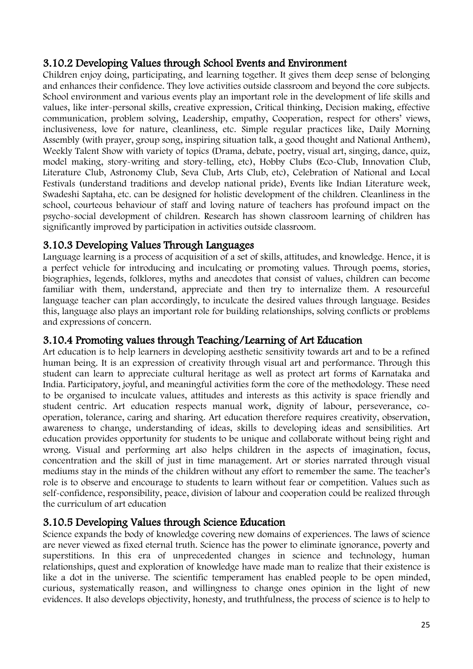# 3.10.2 Developing Values through School Events and Environment

Children enjoy doing, participating, and learning together. It gives them deep sense of belonging and enhances their confidence. They love activities outside classroom and beyond the core subjects. School environment and various events play an important role in the development of life skills and values, like inter-personal skills, creative expression, Critical thinking, Decision making, effective communication, problem solving, Leadership, empathy, Cooperation, respect for others' views, inclusiveness, love for nature, cleanliness, etc. Simple regular practices like, Daily Morning Assembly (with prayer, group song, inspiring situation talk, a good thought and National Anthem), Weekly Talent Show with variety of topics (Drama, debate, poetry, visual art, singing, dance, quiz, model making, story-writing and story-telling, etc), Hobby Clubs (Eco-Club, Innovation Club, Literature Club, Astronomy Club, Seva Club, Arts Club, etc), Celebration of National and Local Festivals (understand traditions and develop national pride), Events like Indian Literature week, Swadeshi Saptaha, etc. can be designed for holistic development of the children. Cleanliness in the school, courteous behaviour of staff and loving nature of teachers has profound impact on the psycho-social development of children. Research has shown classroom learning of children has significantly improved by participation in activities outside classroom.

### 3.10.3 Developing Values Through Languages

Language learning is a process of acquisition of a set of skills, attitudes, and knowledge. Hence, it is a perfect vehicle for introducing and inculcating or promoting values. Through poems, stories, biographies, legends, folklores, myths and anecdotes that consist of values, children can become familiar with them, understand, appreciate and then try to internalize them. A resourceful language teacher can plan accordingly, to inculcate the desired values through language. Besides this, language also plays an important role for building relationships, solving conflicts or problems and expressions of concern.

### 3.10.4 Promoting values through Teaching/Learning of Art Education

Art education is to help learners in developing aesthetic sensitivity towards art and to be a refined human being. It is an expression of creativity through visual art and performance. Through this student can learn to appreciate cultural heritage as well as protect art forms of Karnataka and India. Participatory, joyful, and meaningful activities form the core of the methodology. These need to be organised to inculcate values, attitudes and interests as this activity is space friendly and student centric. Art education respects manual work, dignity of labour, perseverance, cooperation, tolerance, caring and sharing. Art education therefore requires creativity, observation, awareness to change, understanding of ideas, skills to developing ideas and sensibilities. Art education provides opportunity for students to be unique and collaborate without being right and wrong. Visual and performing art also helps children in the aspects of imagination, focus, concentration and the skill of just in time management. Art or stories narrated through visual mediums stay in the minds of the children without any effort to remember the same. The teacher's role is to observe and encourage to students to learn without fear or competition. Values such as self-confidence, responsibility, peace, division of labour and cooperation could be realized through the curriculum of art education

# 3.10.5 Developing Values through Science Education

Science expands the body of knowledge covering new domains of experiences. The laws of science are never viewed as fixed eternal truth. Science has the power to eliminate ignorance, poverty and superstitions. In this era of unprecedented changes in science and technology, human relationships, quest and exploration of knowledge have made man to realize that their existence is like a dot in the universe. The scientific temperament has enabled people to be open minded, curious, systematically reason, and willingness to change ones opinion in the light of new evidences. It also develops objectivity, honesty, and truthfulness, the process of science is to help to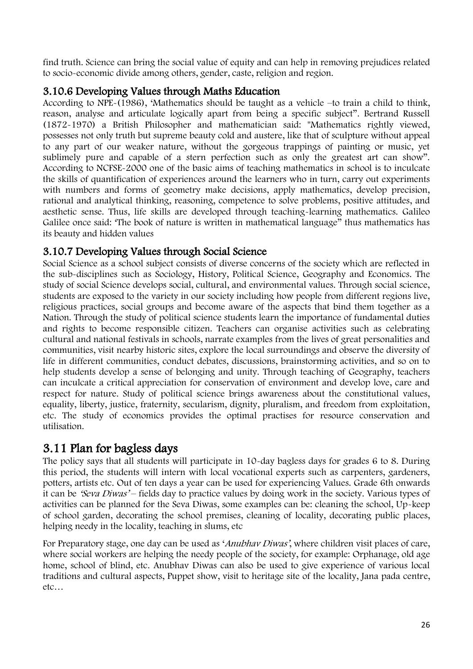find truth. Science can bring the social value of equity and can help in removing prejudices related to socio-economic divide among others, gender, caste, religion and region.

# 3.10.6 Developing Values through Maths Education

According to NPE-(1986), 'Mathematics should be taught as a vehicle –to train a child to think, reason, analyse and articulate logically apart from being a specific subject". Bertrand Russell (1872-1970) a British Philosopher and mathematician said: "Mathematics rightly viewed, possesses not only truth but supreme beauty cold and austere, like that of sculpture without appeal to any part of our weaker nature, without the gorgeous trappings of painting or music, yet sublimely pure and capable of a stern perfection such as only the greatest art can show". According to NCFSE-2000 one of the basic aims of teaching mathematics in school is to inculcate the skills of quantification of experiences around the learners who in turn, carry out experiments with numbers and forms of geometry make decisions, apply mathematics, develop precision, rational and analytical thinking, reasoning, competence to solve problems, positive attitudes, and aesthetic sense. Thus, life skills are developed through teaching-learning mathematics. Galileo Galilee once said: 'The book of nature is written in mathematical language" thus mathematics has its beauty and hidden values

# 3.10.7 Developing Values through Social Science

Social Science as a school subject consists of diverse concerns of the society which are reflected in the sub-disciplines such as Sociology, History, Political Science, Geography and Economics. The study of social Science develops social, cultural, and environmental values. Through social science, students are exposed to the variety in our society including how people from different regions live, religious practices, social groups and become aware of the aspects that bind them together as a Nation. Through the study of political science students learn the importance of fundamental duties and rights to become responsible citizen. Teachers can organise activities such as celebrating cultural and national festivals in schools, narrate examples from the lives of great personalities and communities, visit nearby historic sites, explore the local surroundings and observe the diversity of life in different communities, conduct debates, discussions, brainstorming activities, and so on to help students develop a sense of belonging and unity. Through teaching of Geography, teachers can inculcate a critical appreciation for conservation of environment and develop love, care and respect for nature. Study of political science brings awareness about the constitutional values, equality, liberty, justice, fraternity, secularism, dignity, pluralism, and freedom from exploitation, etc. The study of economics provides the optimal practises for resource conservation and utilisation.

# 3.11 Plan for bagless days

The policy says that all students will participate in 10-day bagless days for grades 6 to 8. During this period, the students will intern with local vocational experts such as carpenters, gardeners, potters, artists etc. Out of ten days a year can be used for experiencing Values. Grade 6th onwards it can be 'Seva Diwas' – fields day to practice values by doing work in the society. Various types of activities can be planned for the Seva Diwas, some examples can be: cleaning the school, Up-keep of school garden, decorating the school premises, cleaning of locality, decorating public places, helping needy in the locality, teaching in slums, etc

For Preparatory stage, one day can be used as '*Anubhay Diwas'*, where children visit places of care, where social workers are helping the needy people of the society, for example: Orphanage, old age home, school of blind, etc. Anubhav Diwas can also be used to give experience of various local traditions and cultural aspects, Puppet show, visit to heritage site of the locality, Jana pada centre, etc…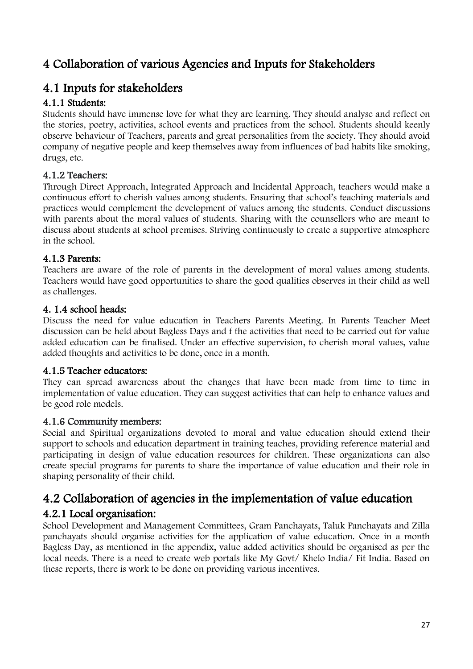# 4 Collaboration of various Agencies and Inputs for Stakeholders

# 4.1 Inputs for stakeholders

## 4.1.1 Students:

Students should have immense love for what they are learning. They should analyse and reflect on the stories, poetry, activities, school events and practices from the school. Students should keenly observe behaviour of Teachers, parents and great personalities from the society. They should avoid company of negative people and keep themselves away from influences of bad habits like smoking, drugs, etc.

### 4.1.2 Teachers:

Through Direct Approach, Integrated Approach and Incidental Approach, teachers would make a continuous effort to cherish values among students. Ensuring that school's teaching materials and practices would complement the development of values among the students. Conduct discussions with parents about the moral values of students. Sharing with the counsellors who are meant to discuss about students at school premises. Striving continuously to create a supportive atmosphere in the school.

### 4.1.3 Parents:

Teachers are aware of the role of parents in the development of moral values among students. Teachers would have good opportunities to share the good qualities observes in their child as well as challenges.

### 4. 1.4 school heads:

Discuss the need for value education in Teachers Parents Meeting. In Parents Teacher Meet discussion can be held about Bagless Days and f the activities that need to be carried out for value added education can be finalised. Under an effective supervision, to cherish moral values, value added thoughts and activities to be done, once in a month.

### 4.1.5 Teacher educators:

They can spread awareness about the changes that have been made from time to time in implementation of value education. They can suggest activities that can help to enhance values and be good role models.

### 4.1.6 Community members:

Social and Spiritual organizations devoted to moral and value education should extend their support to schools and education department in training teaches, providing reference material and participating in design of value education resources for children. These organizations can also create special programs for parents to share the importance of value education and their role in shaping personality of their child.

# 4.2 Collaboration of agencies in the implementation of value education 4.2.1 Local organisation:

School Development and Management Committees, Gram Panchayats, Taluk Panchayats and Zilla panchayats should organise activities for the application of value education. Once in a month Bagless Day, as mentioned in the appendix, value added activities should be organised as per the local needs. There is a need to create web portals like My Govt/ Khelo India/ Fit India. Based on these reports, there is work to be done on providing various incentives.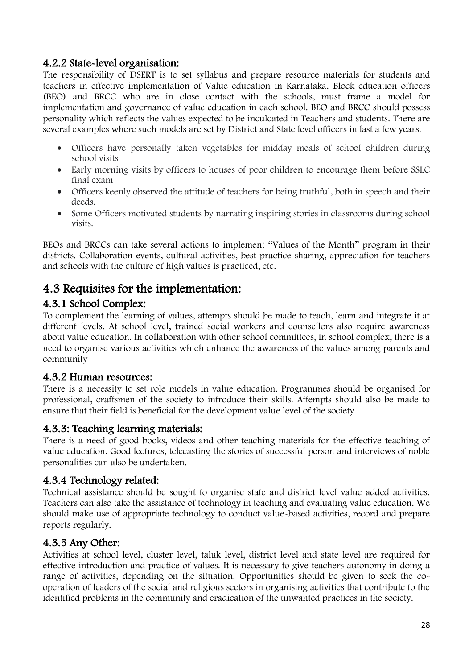### 4.2.2 State-level organisation:

The responsibility of DSERT is to set syllabus and prepare resource materials for students and teachers in effective implementation of Value education in Karnataka. Block education officers (BEO) and BRCC who are in close contact with the schools, must frame a model for implementation and governance of value education in each school. BEO and BRCC should possess personality which reflects the values expected to be inculcated in Teachers and students. There are several examples where such models are set by District and State level officers in last a few years.

- Officers have personally taken vegetables for midday meals of school children during school visits
- Early morning visits by officers to houses of poor children to encourage them before SSLC final exam
- Officers keenly observed the attitude of teachers for being truthful, both in speech and their deeds.
- Some Officers motivated students by narrating inspiring stories in classrooms during school visits.

BEOs and BRCCs can take several actions to implement "Values of the Month" program in their districts. Collaboration events, cultural activities, best practice sharing, appreciation for teachers and schools with the culture of high values is practiced, etc.

# 4.3 Requisites for the implementation:

### 4.3.1 School Complex:

To complement the learning of values, attempts should be made to teach, learn and integrate it at different levels. At school level, trained social workers and counsellors also require awareness about value education. In collaboration with other school committees, in school complex, there is a need to organise various activities which enhance the awareness of the values among parents and community

### 4.3.2 Human resources:

There is a necessity to set role models in value education. Programmes should be organised for professional, craftsmen of the society to introduce their skills. Attempts should also be made to ensure that their field is beneficial for the development value level of the society

### 4.3.3: Teaching learning materials:

There is a need of good books, videos and other teaching materials for the effective teaching of value education. Good lectures, telecasting the stories of successful person and interviews of noble personalities can also be undertaken.

### 4.3.4 Technology related:

Technical assistance should be sought to organise state and district level value added activities. Teachers can also take the assistance of technology in teaching and evaluating value education. We should make use of appropriate technology to conduct value-based activities, record and prepare reports regularly.

### 4.3.5 Any Other:

Activities at school level, cluster level, taluk level, district level and state level are required for effective introduction and practice of values. It is necessary to give teachers autonomy in doing a range of activities, depending on the situation. Opportunities should be given to seek the cooperation of leaders of the social and religious sectors in organising activities that contribute to the identified problems in the community and eradication of the unwanted practices in the society.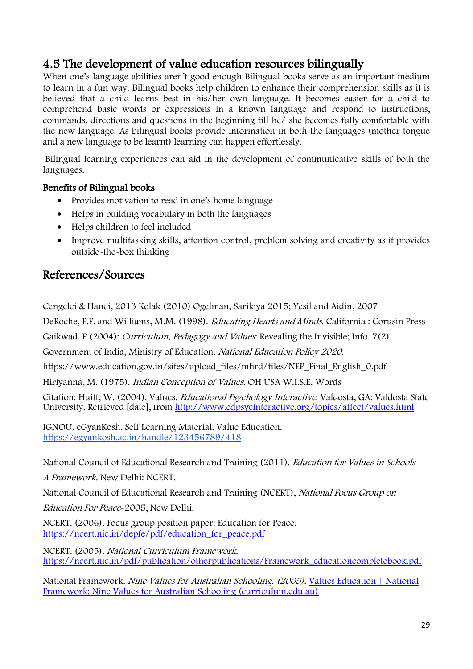# 4.5 The development of value education resources bilingually

When one's language abilities aren't good enough Bilingual books serve as an important medium to learn in a fun way. Bilingual books help children to enhance their comprehension skills as it is believed that a child learns best in his/her own language. It becomes easier for a child to comprehend basic words or expressions in a known language and respond to instructions, commands, directions and questions in the beginning till he/ she becomes fully comfortable with the new language. As bilingual books provide information in both the languages (mother tongue and a new language to be learnt) learning can happen effortlessly.

Bilingual learning experiences can aid in the development of communicative skills of both the languages.

### Benefits of Bilingual books

- Provides motivation to read in one's home language
- Helps in building vocabulary in both the languages
- Helps children to feel included
- Improve multitasking skills, attention control, problem solving and creativity as it provides outside-the-box thinking

# References/Sources

Cengelci & Hanci, 2013 Kolak (2010) Ogelman, Sarikiya 2015; Yesil and Aidin, 2007

DeRoche, E.F. and Williams, M.M. (1998). Educating Hearts and Minds. California : Corusin Press

Gaikwad. P (2004): *Curriculum, Pedagogy and Values*: Revealing the Invisible; Info. 7(2).

Government of India, Ministry of Education. National Education Policy 2020.

https://www.education.gov.in/sites/upload\_files/mhrd/files/NEP\_Final\_English\_0.pdf

Hiriyanna, M. (1975). Indian Conception of Values. OH USA W.I.S.E. Words

Citation: Huitt, W. (2004). Values. Educational Psychology Interactive. Valdosta, GA: Valdosta State University. Retrieved [date], from <http://www.edpsycinteractive.org/topics/affect/values.html>

IGNOU. eGyanKosh. Self Learning Material. Value Education. <https://egyankosh.ac.in/handle/123456789/418>

National Council of Educational Research and Training (2011). *Education for Values in Schools* –

A Framework. New Delhi: NCERT.

National Council of Educational Research and Training (NCERT), National Focus Group on

Education For Peace-2005, New Delhi.

NCERT. (2006). Focus group position paper: Education for Peace. [https://ncert.nic.in/depfe/pdf/education\\_for\\_peace.pdf](https://ncert.nic.in/depfe/pdf/education_for_peace.pdf)

NCERT. (2005). National Curriculum Framework. [https://ncert.nic.in/pdf/publication/otherpublications/Framework\\_educationcompletebook.pdf](https://ncert.nic.in/pdf/publication/otherpublications/Framework_educationcompletebook.pdf)

National Framework. Nine Values for Australian Schooling. (2005). [Values Education | National](http://www.curriculum.edu.au/values/val_national_framework_nine_values,14515.html#:~:text=National%20Framework%3A%20Nine%20Values%20for%20Australian%20Schooling%20Nine,National%20Goals%20for%20Schooling%20in%20the%20Twenty-First%20Century.)  [Framework: Nine Values for Australian Schooling \(curriculum.edu.au\)](http://www.curriculum.edu.au/values/val_national_framework_nine_values,14515.html#:~:text=National%20Framework%3A%20Nine%20Values%20for%20Australian%20Schooling%20Nine,National%20Goals%20for%20Schooling%20in%20the%20Twenty-First%20Century.)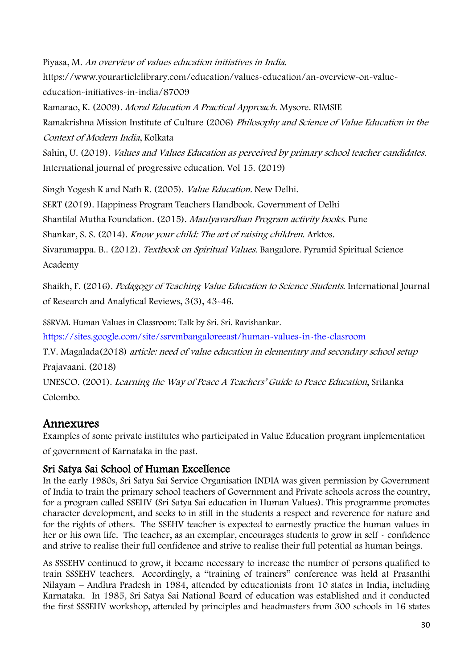Piyasa, M. An overview of values education initiatives in India. https://www.yourarticlelibrary.com/education/values-education/an-overview-on-valueeducation-initiatives-in-india/87009 Ramarao, K. (2009). Moral Education A Practical Approach. Mysore. RIMSIE Ramakrishna Mission Institute of Culture (2006) Philosophy and Science of Value Education in the Context of Modern India, Kolkata Sahin, U. (2019). Values and Values Education as perceived by primary school teacher candidates. International journal of progressive education. Vol 15. (2019)

Singh Yogesh K and Nath R. (2005). Value Education. New Delhi. SERT (2019). Happiness Program Teachers Handbook. Government of Delhi Shantilal Mutha Foundation. (2015). Maulyavardhan Program activity books. Pune Shankar, S. S. (2014). Know your child: The art of raising children. Arktos. Sivaramappa. B.. (2012). Textbook on Spiritual Values. Bangalore. Pyramid Spiritual Science Academy

Shaikh, F. (2016). Pedagogy of Teaching Value Education to Science Students. International Journal of Research and Analytical Reviews, 3(3), 43-46.

SSRVM. Human Values in Classroom: Talk by Sri. Sri. Ravishankar.

<https://sites.google.com/site/ssrvmbangaloreeast/human-values-in-the-clasroom>

T.V. Magalada(2018) article: need of value education in elementary and secondary school setup Prajavaani. (2018)

UNESCO. (2001). Learning the Way of Peace A Teachers' Guide to Peace Education, Srilanka Colombo.

# Annexures

Examples of some private institutes who participated in Value Education program implementation of government of Karnataka in the past.

### Sri Satya Sai School of Human Excellence

In the early 1980s, Sri Satya Sai Service Organisation INDIA was given permission by Government of India to train the primary school teachers of Government and Private schools across the country, for a program called SSEHV (Sri Satya Sai education in Human Values). This programme promotes character development, and seeks to in still in the students a respect and reverence for nature and for the rights of others. The SSEHV teacher is expected to earnestly practice the human values in her or his own life. The teacher, as an exemplar, encourages students to grow in self - confidence and strive to realise their full confidence and strive to realise their full potential as human beings.

As SSSEHV continued to grow, it became necessary to increase the number of persons qualified to train SSSEHV teachers. Accordingly, a "training of trainers" conference was held at Prasanthi Nilayam – Andhra Pradesh in 1984, attended by educationists from 10 states in India, including Karnataka. In 1985, Sri Satya Sai National Board of education was established and it conducted the first SSSEHV workshop, attended by principles and headmasters from 300 schools in 16 states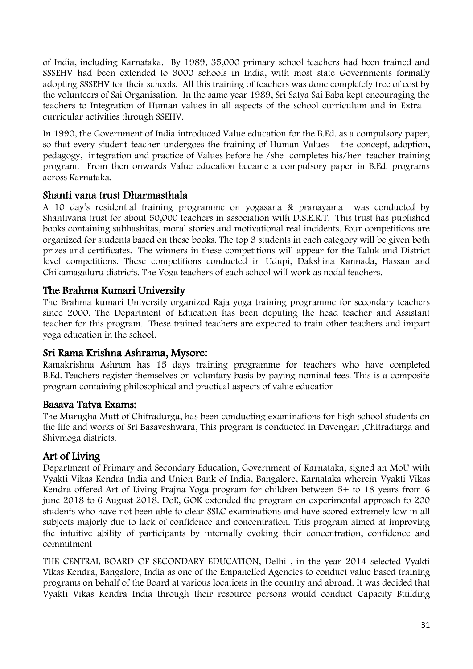of India, including Karnataka. By 1989, 35,000 primary school teachers had been trained and SSSEHV had been extended to 3000 schools in India, with most state Governments formally adopting SSSEHV for their schools. All this training of teachers was done completely free of cost by the volunteers of Sai Organisation. In the same year 1989, Sri Satya Sai Baba kept encouraging the teachers to Integration of Human values in all aspects of the school curriculum and in Extra – curricular activities through SSEHV.

In 1990, the Government of India introduced Value education for the B.Ed. as a compulsory paper, so that every student-teacher undergoes the training of Human Values – the concept, adoption, pedagogy, integration and practice of Values before he /she completes his/her teacher training program. From then onwards Value education became a compulsory paper in B.Ed. programs across Karnataka.

### Shanti vana trust Dharmasthala

A 10 day's residential training programme on yogasana & pranayama was conducted by Shantivana trust for about 50,000 teachers in association with D.S.E.R.T. This trust has published books containing subhashitas, moral stories and motivational real incidents. Four competitions are organized for students based on these books. The top 3 students in each category will be given both prizes and certificates. The winners in these competitions will appear for the Taluk and District level competitions. These competitions conducted in Udupi, Dakshina Kannada, Hassan and Chikamagaluru districts. The Yoga teachers of each school will work as nodal teachers.

### The Brahma Kumari University

The Brahma kumari University organized Raja yoga training programme for secondary teachers since 2000. The Department of Education has been deputing the head teacher and Assistant teacher for this program. These trained teachers are expected to train other teachers and impart yoga education in the school.

### Sri Rama Krishna Ashrama, Mysore:

Ramakrishna Ashram has 15 days training programme for teachers who have completed B.Ed. Teachers register themselves on voluntary basis by paying nominal fees. This is a composite program containing philosophical and practical aspects of value education

### Basava Tatva Exams:

The Murugha Mutt of Chitradurga, has been conducting examinations for high school students on the life and works of Sri Basaveshwara, This program is conducted in Davengari ,Chitradurga and Shivmoga districts.

### Art of Living

Department of Primary and Secondary Education, Government of Karnataka, signed an MoU with Vyakti Vikas Kendra India and Union Bank of India, Bangalore, Karnataka wherein Vyakti Vikas Kendra offered Art of Living Prajna Yoga program for children between 5+ to 18 years from 6 june 2018 to 6 August 2018. DoE, GOK extended the program on experimental approach to 200 students who have not been able to clear SSLC examinations and have scored extremely low in all subjects majorly due to lack of confidence and concentration. This program aimed at improving the intuitive ability of participants by internally evoking their concentration, confidence and commitment

THE CENTRAL BOARD OF SECONDARY EDUCATION, Delhi , in the year 2014 selected Vyakti Vikas Kendra, Bangalore, India as one of the Empanelled Agencies to conduct value based training programs on behalf of the Board at various locations in the country and abroad. It was decided that Vyakti Vikas Kendra India through their resource persons would conduct Capacity Building